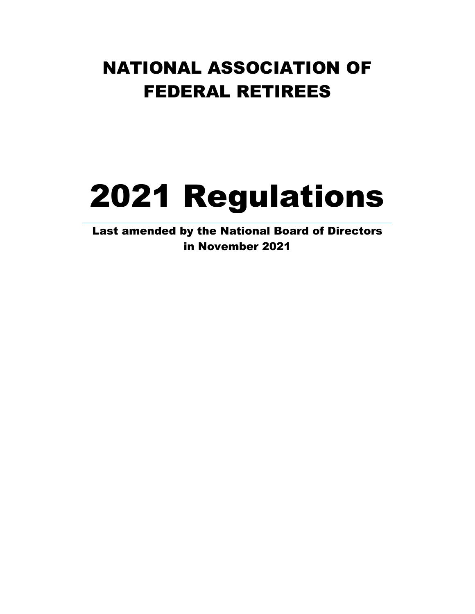## NATIONAL ASSOCIATION OF FEDERAL RETIREES

# 2021 Regulations

Last amended by the National Board of Directors in November 2021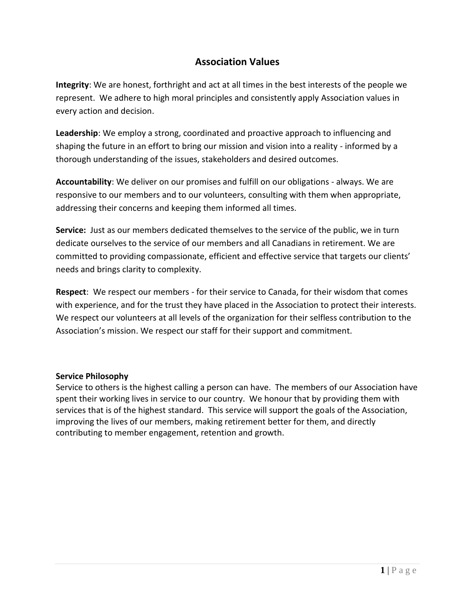## **Association Values**

**Integrity**: We are honest, forthright and act at all times in the best interests of the people we represent. We adhere to high moral principles and consistently apply Association values in every action and decision.

**Leadership**: We employ a strong, coordinated and proactive approach to influencing and shaping the future in an effort to bring our mission and vision into a reality - informed by a thorough understanding of the issues, stakeholders and desired outcomes.

**Accountability**: We deliver on our promises and fulfill on our obligations - always. We are responsive to our members and to our volunteers, consulting with them when appropriate, addressing their concerns and keeping them informed all times.

**Service:** Just as our members dedicated themselves to the service of the public, we in turn dedicate ourselves to the service of our members and all Canadians in retirement. We are committed to providing compassionate, efficient and effective service that targets our clients' needs and brings clarity to complexity.

**Respect**: We respect our members - for their service to Canada, for their wisdom that comes with experience, and for the trust they have placed in the Association to protect their interests. We respect our volunteers at all levels of the organization for their selfless contribution to the Association's mission. We respect our staff for their support and commitment.

#### **Service Philosophy**

Service to others is the highest calling a person can have. The members of our Association have spent their working lives in service to our country. We honour that by providing them with services that is of the highest standard. This service will support the goals of the Association, improving the lives of our members, making retirement better for them, and directly contributing to member engagement, retention and growth.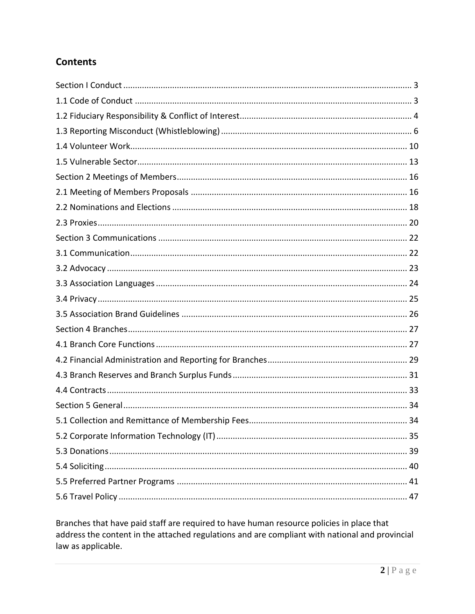## **Contents**

Branches that have paid staff are required to have human resource policies in place that address the content in the attached regulations and are compliant with national and provincial law as applicable.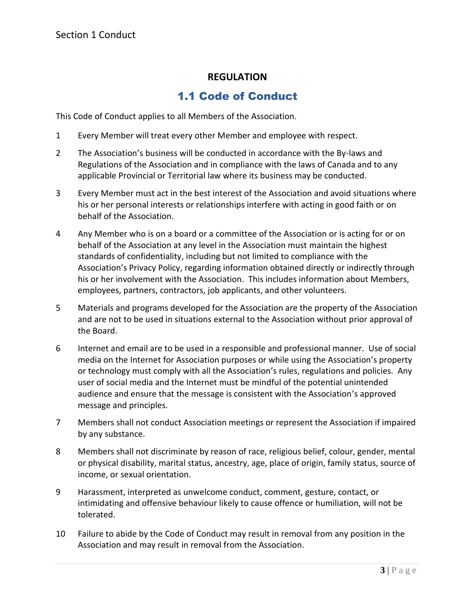## 1.1 Code of Conduct

<span id="page-3-1"></span><span id="page-3-0"></span>This Code of Conduct applies to all Members of the Association.

- 1 Every Member will treat every other Member and employee with respect.
- 2 The Association's business will be conducted in accordance with the By-laws and Regulations of the Association and in compliance with the laws of Canada and to any applicable Provincial or Territorial law where its business may be conducted.
- 3 Every Member must act in the best interest of the Association and avoid situations where his or her personal interests or relationships interfere with acting in good faith or on behalf of the Association.
- 4 Any Member who is on a board or a committee of the Association or is acting for or on behalf of the Association at any level in the Association must maintain the highest standards of confidentiality, including but not limited to compliance with the Association's Privacy Policy, regarding information obtained directly or indirectly through his or her involvement with the Association. This includes information about Members, employees, partners, contractors, job applicants, and other volunteers.
- 5 Materials and programs developed for the Association are the property of the Association and are not to be used in situations external to the Association without prior approval of the Board.
- 6 Internet and email are to be used in a responsible and professional manner. Use of social media on the Internet for Association purposes or while using the Association's property or technology must comply with all the Association's rules, regulations and policies. Any user of social media and the Internet must be mindful of the potential unintended audience and ensure that the message is consistent with the Association's approved message and principles.
- 7 Members shall not conduct Association meetings or represent the Association if impaired by any substance.
- 8 Members shall not discriminate by reason of race, religious belief, colour, gender, mental or physical disability, marital status, ancestry, age, place of origin, family status, source of income, or sexual orientation.
- 9 Harassment, interpreted as unwelcome conduct, comment, gesture, contact, or intimidating and offensive behaviour likely to cause offence or humiliation, will not be tolerated.
- 10 Failure to abide by the Code of Conduct may result in removal from any position in the Association and may result in removal from the Association.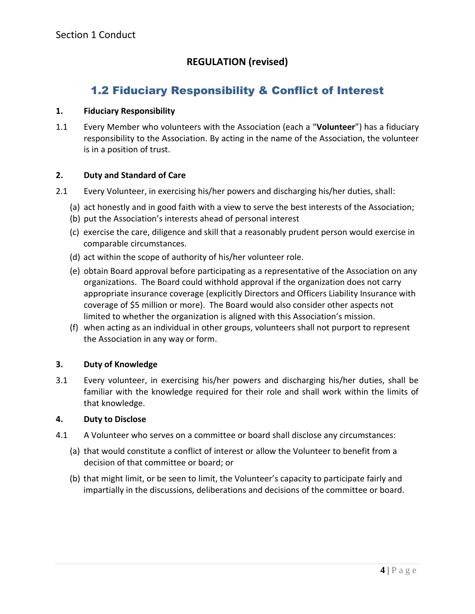## **REGULATION (revised)**

## 1.2 Fiduciary Responsibility & Conflict of Interest

## <span id="page-4-0"></span>**1. Fiduciary Responsibility**

1.1 Every Member who volunteers with the Association (each a "**Volunteer**") has a fiduciary responsibility to the Association. By acting in the name of the Association, the volunteer is in a position of trust.

## **2. Duty and Standard of Care**

- 2.1 Every Volunteer, in exercising his/her powers and discharging his/her duties, shall:
	- (a) act honestly and in good faith with a view to serve the best interests of the Association;
	- (b) put the Association's interests ahead of personal interest
	- (c) exercise the care, diligence and skill that a reasonably prudent person would exercise in comparable circumstances.
	- (d) act within the scope of authority of his/her volunteer role.
	- (e) obtain Board approval before participating as a representative of the Association on any organizations. The Board could withhold approval if the organization does not carry appropriate insurance coverage (explicitly Directors and Officers Liability Insurance with coverage of \$5 million or more). The Board would also consider other aspects not limited to whether the organization is aligned with this Association's mission.
	- (f) when acting as an individual in other groups, volunteers shall not purport to represent the Association in any way or form.

## **3. Duty of Knowledge**

3.1 Every volunteer, in exercising his/her powers and discharging his/her duties, shall be familiar with the knowledge required for their role and shall work within the limits of that knowledge.

#### **4. Duty to Disclose**

- 4.1 A Volunteer who serves on a committee or board shall disclose any circumstances:
	- (a) that would constitute a conflict of interest or allow the Volunteer to benefit from a decision of that committee or board; or
	- (b) that might limit, or be seen to limit, the Volunteer's capacity to participate fairly and impartially in the discussions, deliberations and decisions of the committee or board.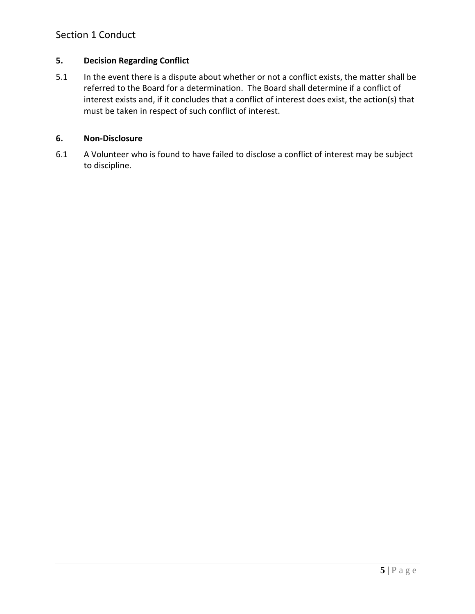## Section 1 Conduct

## **5. Decision Regarding Conflict**

5.1 In the event there is a dispute about whether or not a conflict exists, the matter shall be referred to the Board for a determination. The Board shall determine if a conflict of interest exists and, if it concludes that a conflict of interest does exist, the action(s) that must be taken in respect of such conflict of interest.

#### **6. Non-Disclosure**

6.1 A Volunteer who is found to have failed to disclose a conflict of interest may be subject to discipline.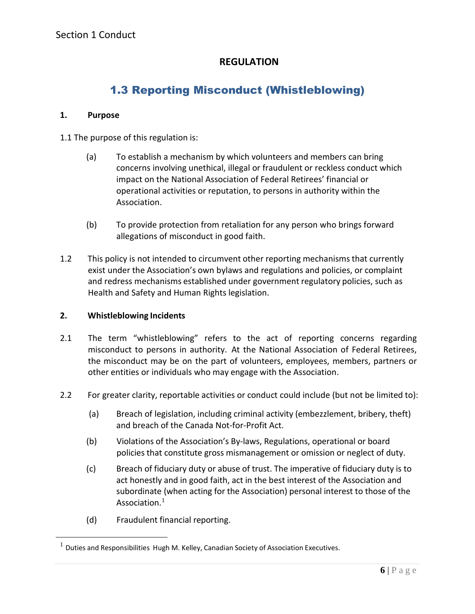## 1.3 Reporting Misconduct (Whistleblowing)

#### <span id="page-6-0"></span>**1. Purpose**

1.1 The purpose of this regulation is:

- (a) To establish a mechanism by which volunteers and members can bring concerns involving unethical, illegal or fraudulent or reckless conduct which impact on the National Association of Federal Retirees' financial or operational activities or reputation, to persons in authority within the Association.
- (b) To provide protection from retaliation for any person who brings forward allegations of misconduct in good faith.
- 1.2 This policy is not intended to circumvent other reporting mechanisms that currently exist under the Association's own bylaws and regulations and policies, or complaint and redress mechanisms established under government regulatory policies, such as Health and Safety and Human Rights legislation.

#### **2. Whistleblowing Incidents**

- 2.1 The term "whistleblowing" refers to the act of reporting concerns regarding misconduct to persons in authority. At the National Association of Federal Retirees, the misconduct may be on the part of volunteers, employees, members, partners or other entities or individuals who may engage with the Association.
- 2.2 For greater clarity, reportable activities or conduct could include (but not be limited to):
	- (a) Breach of legislation, including criminal activity (embezzlement, bribery, theft) and breach of the Canada Not-for-Profit Act.
	- (b) Violations of the Association's By-laws, Regulations, operational or board policies that constitute gross mismanagement or omission or neglect of duty.
	- (c) Breach of fiduciary duty or abuse of trust. The imperative of fiduciary duty is to act honestly and in good faith, act in the best interest of the Association and subordinate (when acting for the Association) personal interest to those of the Association. $^1$
	- (d) Fraudulent financial reporting.

 $1$  Duties and Responsibilities Hugh M. Kelley, Canadian Society of Association Executives.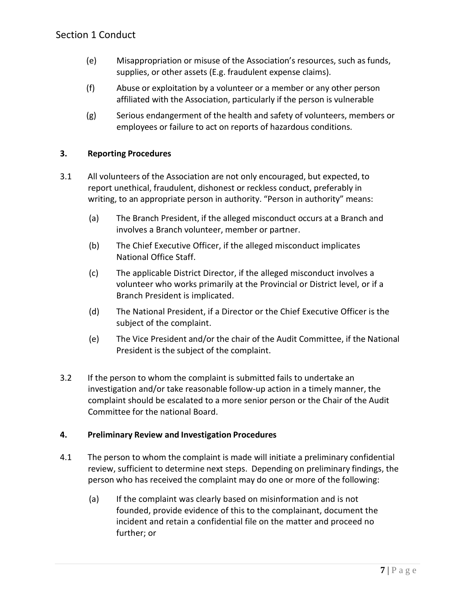- (e) Misappropriation or misuse of the Association's resources, such as funds, supplies, or other assets (E.g. fraudulent expense claims).
- (f) Abuse or exploitation by a volunteer or a member or any other person affiliated with the Association, particularly if the person is vulnerable
- (g) Serious endangerment of the health and safety of volunteers, members or employees or failure to act on reports of hazardous conditions.

## **3. Reporting Procedures**

- 3.1 All volunteers of the Association are not only encouraged, but expected, to report unethical, fraudulent, dishonest or reckless conduct, preferably in writing, to an appropriate person in authority. "Person in authority" means:
	- (a) The Branch President, if the alleged misconduct occurs at a Branch and involves a Branch volunteer, member or partner.
	- (b) The Chief Executive Officer, if the alleged misconduct implicates National Office Staff.
	- (c) The applicable District Director, if the alleged misconduct involves a volunteer who works primarily at the Provincial or District level, or if a Branch President is implicated.
	- (d) The National President, if a Director or the Chief Executive Officer is the subject of the complaint.
	- (e) The Vice President and/or the chair of the Audit Committee, if the National President is the subject of the complaint.
- 3.2 If the person to whom the complaint is submitted fails to undertake an investigation and/or take reasonable follow-up action in a timely manner, the complaint should be escalated to a more senior person or the Chair of the Audit Committee for the national Board.

## **4. Preliminary Review and Investigation Procedures**

- 4.1 The person to whom the complaint is made will initiate a preliminary confidential review, sufficient to determine next steps. Depending on preliminary findings, the person who has received the complaint may do one or more of the following:
	- (a) If the complaint was clearly based on misinformation and is not founded, provide evidence of this to the complainant, document the incident and retain a confidential file on the matter and proceed no further; or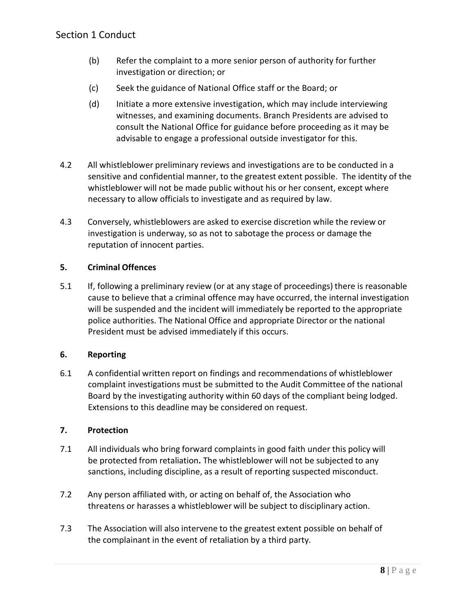- (b) Refer the complaint to a more senior person of authority for further investigation or direction; or
- (c) Seek the guidance of National Office staff or the Board; or
- (d) Initiate a more extensive investigation, which may include interviewing witnesses, and examining documents. Branch Presidents are advised to consult the National Office for guidance before proceeding as it may be advisable to engage a professional outside investigator for this.
- 4.2 All whistleblower preliminary reviews and investigations are to be conducted in a sensitive and confidential manner, to the greatest extent possible. The identity of the whistleblower will not be made public without his or her consent, except where necessary to allow officials to investigate and as required by law.
- 4.3 Conversely, whistleblowers are asked to exercise discretion while the review or investigation is underway, so as not to sabotage the process or damage the reputation of innocent parties.

## **5. Criminal Offences**

5.1 If, following a preliminary review (or at any stage of proceedings) there is reasonable cause to believe that a criminal offence may have occurred, the internal investigation will be suspended and the incident will immediately be reported to the appropriate police authorities. The National Office and appropriate Director or the national President must be advised immediately if this occurs.

## **6. Reporting**

6.1 A confidential written report on findings and recommendations of whistleblower complaint investigations must be submitted to the Audit Committee of the national Board by the investigating authority within 60 days of the compliant being lodged. Extensions to this deadline may be considered on request.

#### **7. Protection**

- 7.1 All individuals who bring forward complaints in good faith under this policy will be protected from retaliation**.** The whistleblower will not be subjected to any sanctions, including discipline, as a result of reporting suspected misconduct.
- 7.2 Any person affiliated with, or acting on behalf of, the Association who threatens or harasses a whistleblower will be subject to disciplinary action.
- 7.3 The Association will also intervene to the greatest extent possible on behalf of the complainant in the event of retaliation by a third party.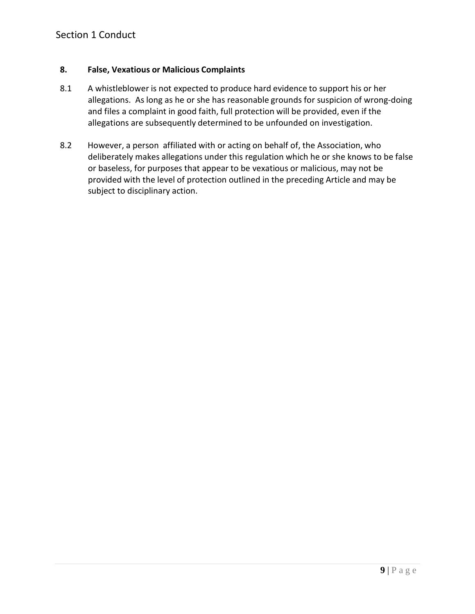#### **8. False, Vexatious or Malicious Complaints**

- 8.1 A whistleblower is not expected to produce hard evidence to support his or her allegations. As long as he or she has reasonable grounds for suspicion of wrong-doing and files a complaint in good faith, full protection will be provided, even if the allegations are subsequently determined to be unfounded on investigation.
- 8.2 However, a person affiliated with or acting on behalf of, the Association, who deliberately makes allegations under this regulation which he or she knows to be false or baseless, for purposes that appear to be vexatious or malicious, may not be provided with the level of protection outlined in the preceding Article and may be subject to disciplinary action.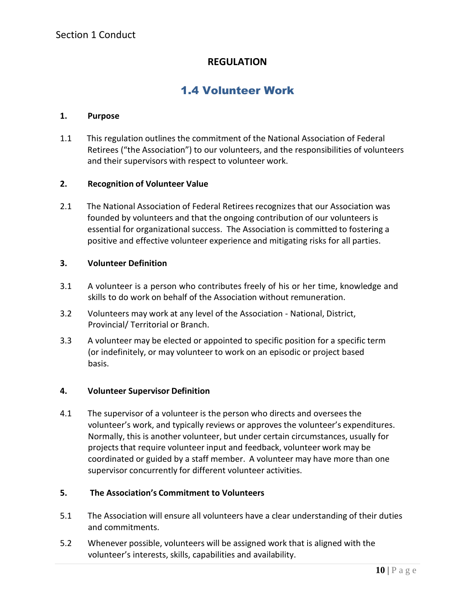## 1.4 Volunteer Work

#### <span id="page-10-0"></span>**1. Purpose**

1.1 This regulation outlines the commitment of the National Association of Federal Retirees ("the Association") to our volunteers, and the responsibilities of volunteers and their supervisors with respect to volunteer work.

#### **2. Recognition of Volunteer Value**

2.1 The National Association of Federal Retirees recognizes that our Association was founded by volunteers and that the ongoing contribution of our volunteers is essential for organizational success. The Association is committed to fostering a positive and effective volunteer experience and mitigating risks for all parties.

#### **3. Volunteer Definition**

- 3.1 A volunteer is a person who contributes freely of his or her time, knowledge and skills to do work on behalf of the Association without remuneration.
- 3.2 Volunteers may work at any level of the Association National, District, Provincial/ Territorial or Branch.
- 3.3 A volunteer may be elected or appointed to specific position for a specific term (or indefinitely, or may volunteer to work on an episodic or project based basis.

#### **4. Volunteer Supervisor Definition**

4.1 The supervisor of a volunteer is the person who directs and oversees the volunteer's work, and typically reviews or approves the volunteer's expenditures. Normally, this is another volunteer, but under certain circumstances, usually for projects that require volunteer input and feedback, volunteer work may be coordinated or guided by a staff member. A volunteer may have more than one supervisor concurrently for different volunteer activities.

#### **5. The Association's Commitment to Volunteers**

- 5.1 The Association will ensure all volunteers have a clear understanding of their duties and commitments.
- 5.2 Whenever possible, volunteers will be assigned work that is aligned with the volunteer's interests, skills, capabilities and availability.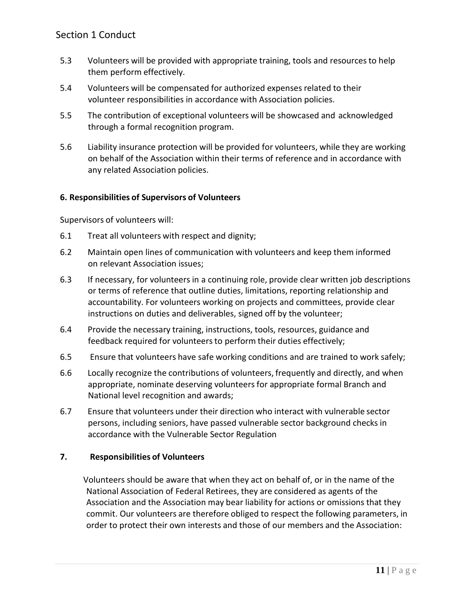- 5.3 Volunteers will be provided with appropriate training, tools and resources to help them perform effectively.
- 5.4 Volunteers will be compensated for authorized expenses related to their volunteer responsibilities in accordance with Association policies.
- 5.5 The contribution of exceptional volunteers will be showcased and acknowledged through a formal recognition program.
- 5.6 Liability insurance protection will be provided for volunteers, while they are working on behalf of the Association within their terms of reference and in accordance with any related Association policies.

## **6. Responsibilities of Supervisors of Volunteers**

Supervisors of volunteers will:

- 6.1 Treat all volunteers with respect and dignity;
- 6.2 Maintain open lines of communication with volunteers and keep them informed on relevant Association issues;
- 6.3 If necessary, for volunteers in a continuing role, provide clear written job descriptions or terms of reference that outline duties, limitations, reporting relationship and accountability. For volunteers working on projects and committees, provide clear instructions on duties and deliverables, signed off by the volunteer;
- 6.4 Provide the necessary training, instructions, tools, resources, guidance and feedback required for volunteers to perform their duties effectively;
- 6.5 Ensure that volunteers have safe working conditions and are trained to work safely;
- 6.6 Locally recognize the contributions of volunteers, frequently and directly, and when appropriate, nominate deserving volunteers for appropriate formal Branch and National level recognition and awards;
- 6.7 Ensure that volunteers under their direction who interact with vulnerable sector persons, including seniors, have passed vulnerable sector background checks in accordance with the Vulnerable Sector Regulation

## **7. Responsibilities of Volunteers**

Volunteers should be aware that when they act on behalf of, or in the name of the National Association of Federal Retirees, they are considered as agents of the Association and the Association may bear liability for actions or omissions that they commit. Our volunteers are therefore obliged to respect the following parameters, in order to protect their own interests and those of our members and the Association: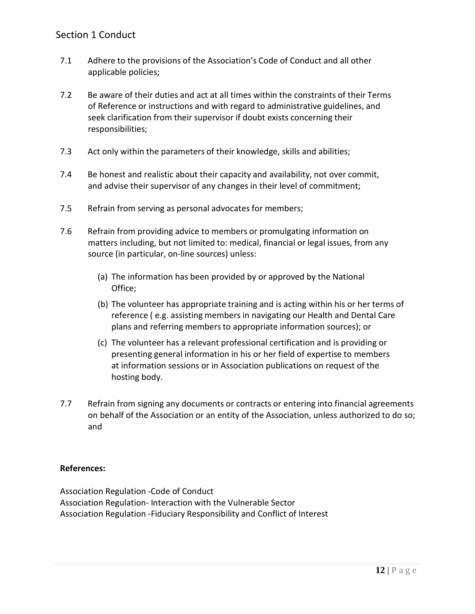- 7.1 Adhere to the provisions of the Association's Code of Conduct and all other applicable policies;
- 7.2 Be aware of their duties and act at all times within the constraints of their Terms of Reference or instructions and with regard to administrative guidelines, and seek clarification from their supervisor if doubt exists concerning their responsibilities;
- 7.3 Act only within the parameters of their knowledge, skills and abilities;
- 7.4 Be honest and realistic about their capacity and availability, not over commit, and advise their supervisor of any changes in their level of commitment;
- 7.5 Refrain from serving as personal advocates for members;
- 7.6 Refrain from providing advice to members or promulgating information on matters including, but not limited to: medical, financial or legal issues, from any source (in particular, on-line sources) unless:
	- (a) The information has been provided by or approved by the National Office;
	- (b) The volunteer has appropriate training and is acting within his or her terms of reference ( e.g. assisting members in navigating our Health and Dental Care plans and referring membersto appropriate information sources); or
	- (c) The volunteer has a relevant professional certification and is providing or presenting general information in his or her field of expertise to members at information sessions or in Association publications on request of the hosting body.
- 7.7 Refrain from signing any documents or contracts or entering into financial agreements on behalf of the Association or an entity of the Association, unless authorized to do so; and

## **References:**

Association Regulation -Code of Conduct Association Regulation- Interaction with the Vulnerable Sector Association Regulation -Fiduciary Responsibility and Conflict of Interest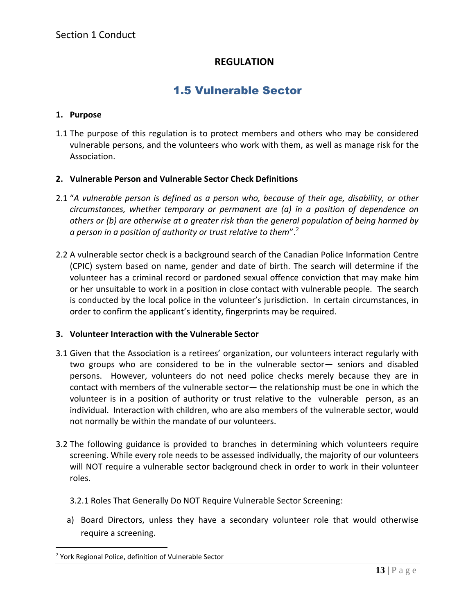## 1.5 Vulnerable Sector

#### <span id="page-13-0"></span>**1. Purpose**

1.1 The purpose of this regulation is to protect members and others who may be considered vulnerable persons, and the volunteers who work with them, as well as manage risk for the Association.

#### **2. Vulnerable Person and Vulnerable Sector Check Definitions**

- 2.1 "*A vulnerable person is defined as a person who, because of their age, disability, or other circumstances, whether temporary or permanent are (a) in a position of dependence on others or (b) are otherwise at a greater risk than the general population of being harmed by a person in a position of authority or trust relative to them*".<sup>2</sup>
- 2.2 A vulnerable sector check is a background search of the Canadian Police Information Centre (CPIC) system based on name, gender and date of birth. The search will determine if the volunteer has a criminal record or pardoned sexual offence conviction that may make him or her unsuitable to work in a position in close contact with vulnerable people. The search is conducted by the local police in the volunteer's jurisdiction. In certain circumstances, in order to confirm the applicant's identity, fingerprints may be required.

#### **3. Volunteer Interaction with the Vulnerable Sector**

- 3.1 Given that the Association is a retirees' organization, our volunteers interact regularly with two groups who are considered to be in the vulnerable sector— seniors and disabled persons. However, volunteers do not need police checks merely because they are in contact with members of the vulnerable sector— the relationship must be one in which the volunteer is in a position of authority or trust relative to the vulnerable person, as an individual. Interaction with children, who are also members of the vulnerable sector, would not normally be within the mandate of our volunteers.
- 3.2 The following guidance is provided to branches in determining which volunteers require screening. While every role needs to be assessed individually, the majority of our volunteers will NOT require a vulnerable sector background check in order to work in their volunteer roles.
	- 3.2.1 Roles That Generally Do NOT Require Vulnerable Sector Screening:
	- a) Board Directors, unless they have a secondary volunteer role that would otherwise require a screening.

<sup>2</sup> York Regional Police, definition of Vulnerable Sector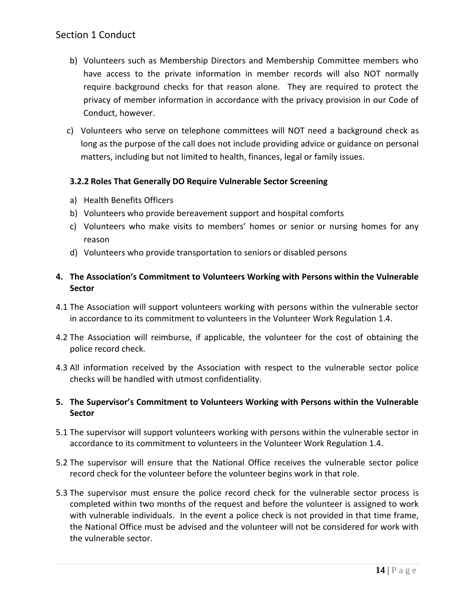## Section 1 Conduct

- b) Volunteers such as Membership Directors and Membership Committee members who have access to the private information in member records will also NOT normally require background checks for that reason alone. They are required to protect the privacy of member information in accordance with the privacy provision in our Code of Conduct, however.
- c) Volunteers who serve on telephone committees will NOT need a background check as long as the purpose of the call does not include providing advice or guidance on personal matters, including but not limited to health, finances, legal or family issues.

## **3.2.2 Roles That Generally DO Require Vulnerable Sector Screening**

- a) Health Benefits Officers
- b) Volunteers who provide bereavement support and hospital comforts
- c) Volunteers who make visits to members' homes or senior or nursing homes for any reason
- d) Volunteers who provide transportation to seniors or disabled persons

## **4. The Association's Commitment to Volunteers Working with Persons within the Vulnerable Sector**

- 4.1 The Association will support volunteers working with persons within the vulnerable sector in accordance to its commitment to volunteers in the Volunteer Work Regulation 1.4.
- 4.2 The Association will reimburse, if applicable, the volunteer for the cost of obtaining the police record check.
- 4.3 All information received by the Association with respect to the vulnerable sector police checks will be handled with utmost confidentiality.

## **5. The Supervisor's Commitment to Volunteers Working with Persons within the Vulnerable Sector**

- 5.1 The supervisor will support volunteers working with persons within the vulnerable sector in accordance to its commitment to volunteers in the Volunteer Work Regulation 1.4.
- 5.2 The supervisor will ensure that the National Office receives the vulnerable sector police record check for the volunteer before the volunteer begins work in that role.
- 5.3 The supervisor must ensure the police record check for the vulnerable sector process is completed within two months of the request and before the volunteer is assigned to work with vulnerable individuals. In the event a police check is not provided in that time frame, the National Office must be advised and the volunteer will not be considered for work with the vulnerable sector.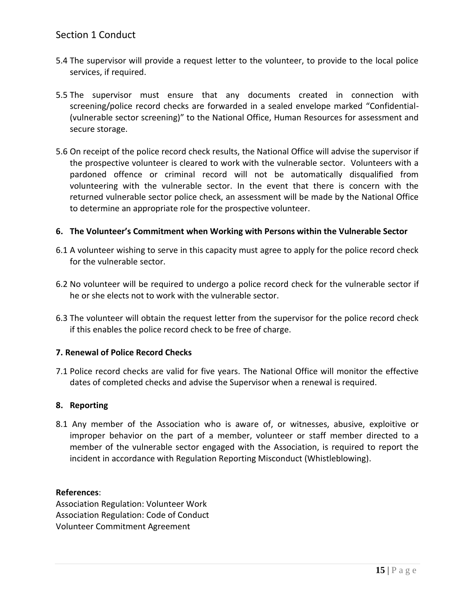- 5.4 The supervisor will provide a request letter to the volunteer, to provide to the local police services, if required.
- 5.5 The supervisor must ensure that any documents created in connection with screening/police record checks are forwarded in a sealed envelope marked "Confidential- (vulnerable sector screening)" to the National Office, Human Resources for assessment and secure storage.
- 5.6 On receipt of the police record check results, the National Office will advise the supervisor if the prospective volunteer is cleared to work with the vulnerable sector. Volunteers with a pardoned offence or criminal record will not be automatically disqualified from volunteering with the vulnerable sector. In the event that there is concern with the returned vulnerable sector police check, an assessment will be made by the National Office to determine an appropriate role for the prospective volunteer.

#### **6. The Volunteer's Commitment when Working with Persons within the Vulnerable Sector**

- 6.1 A volunteer wishing to serve in this capacity must agree to apply for the police record check for the vulnerable sector.
- 6.2 No volunteer will be required to undergo a police record check for the vulnerable sector if he or she elects not to work with the vulnerable sector.
- 6.3 The volunteer will obtain the request letter from the supervisor for the police record check if this enables the police record check to be free of charge.

#### **7. Renewal of Police Record Checks**

7.1 Police record checks are valid for five years. The National Office will monitor the effective dates of completed checks and advise the Supervisor when a renewal is required.

#### **8. Reporting**

8.1 Any member of the Association who is aware of, or witnesses, abusive, exploitive or improper behavior on the part of a member, volunteer or staff member directed to a member of the vulnerable sector engaged with the Association, is required to report the incident in accordance with Regulation Reporting Misconduct (Whistleblowing).

#### **References**:

Association Regulation: Volunteer Work Association Regulation: Code of Conduct Volunteer Commitment Agreement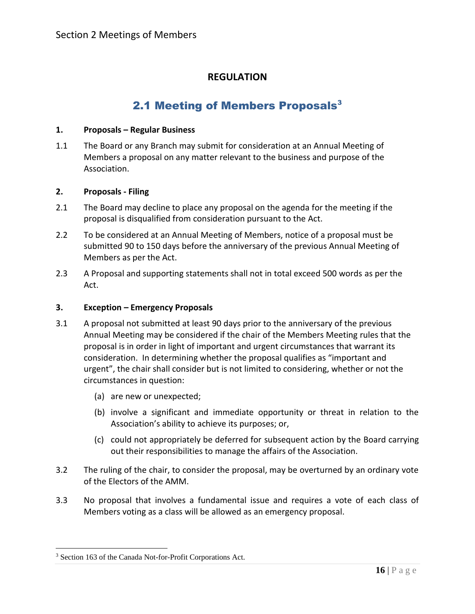## 2.1 Meeting of Members Proposals<sup>3</sup>

#### <span id="page-16-1"></span><span id="page-16-0"></span>**1. Proposals – Regular Business**

1.1 The Board or any Branch may submit for consideration at an Annual Meeting of Members a proposal on any matter relevant to the business and purpose of the Association.

#### **2. Proposals - Filing**

- 2.1 The Board may decline to place any proposal on the agenda for the meeting if the proposal is disqualified from consideration pursuant to the Act.
- 2.2 To be considered at an Annual Meeting of Members, notice of a proposal must be submitted 90 to 150 days before the anniversary of the previous Annual Meeting of Members as per the Act.
- 2.3 A Proposal and supporting statements shall not in total exceed 500 words as per the Act.

#### **3. Exception – Emergency Proposals**

- 3.1 A proposal not submitted at least 90 days prior to the anniversary of the previous Annual Meeting may be considered if the chair of the Members Meeting rules that the proposal is in order in light of important and urgent circumstances that warrant its consideration. In determining whether the proposal qualifies as "important and urgent", the chair shall consider but is not limited to considering, whether or not the circumstances in question:
	- (a) are new or unexpected;
	- (b) involve a significant and immediate opportunity or threat in relation to the Association's ability to achieve its purposes; or,
	- (c) could not appropriately be deferred for subsequent action by the Board carrying out their responsibilities to manage the affairs of the Association.
- 3.2 The ruling of the chair, to consider the proposal, may be overturned by an ordinary vote of the Electors of the AMM.
- 3.3 No proposal that involves a fundamental issue and requires a vote of each class of Members voting as a class will be allowed as an emergency proposal.

<sup>3</sup> Section 163 of the Canada Not-for-Profit Corporations Act.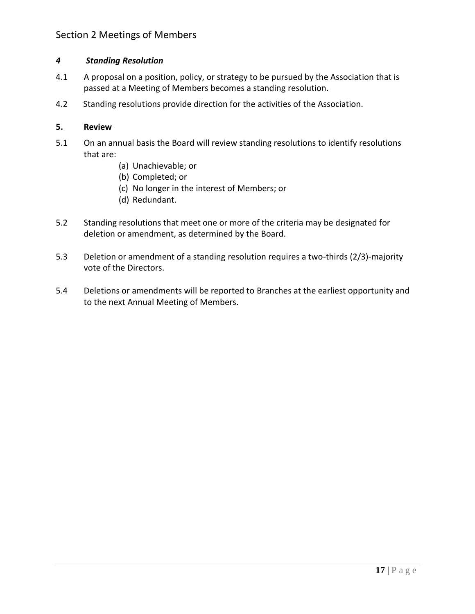## Section 2 Meetings of Members

## *4 Standing Resolution*

- 4.1 A proposal on a position, policy, or strategy to be pursued by the Association that is passed at a Meeting of Members becomes a standing resolution.
- 4.2 Standing resolutions provide direction for the activities of the Association.

#### **5. Review**

- 5.1 On an annual basis the Board will review standing resolutions to identify resolutions that are:
	- (a) Unachievable; or
	- (b) Completed; or
	- (c) No longer in the interest of Members; or
	- (d) Redundant.
- 5.2 Standing resolutions that meet one or more of the criteria may be designated for deletion or amendment, as determined by the Board.
- 5.3 Deletion or amendment of a standing resolution requires a two-thirds (2/3)-majority vote of the Directors.
- 5.4 Deletions or amendments will be reported to Branches at the earliest opportunity and to the next Annual Meeting of Members.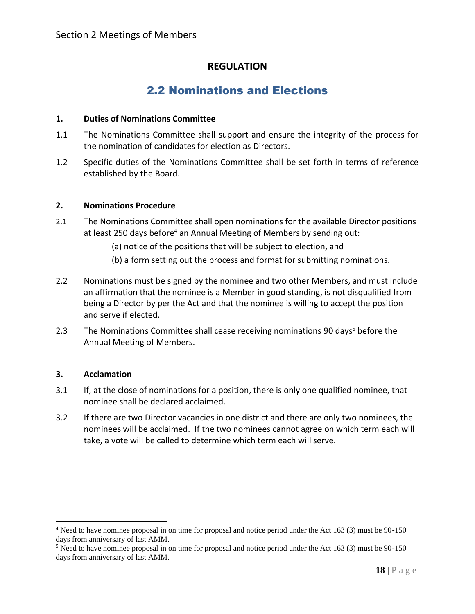## 2.2 Nominations and Elections

#### <span id="page-18-0"></span>**1. Duties of Nominations Committee**

- 1.1 The Nominations Committee shall support and ensure the integrity of the process for the nomination of candidates for election as Directors.
- 1.2 Specific duties of the Nominations Committee shall be set forth in terms of reference established by the Board.

#### **2. Nominations Procedure**

- 2.1 The Nominations Committee shall open nominations for the available Director positions at least 250 days before<sup>4</sup> an Annual Meeting of Members by sending out:
	- (a) notice of the positions that will be subject to election, and
	- (b) a form setting out the process and format for submitting nominations.
- 2.2 Nominations must be signed by the nominee and two other Members, and must include an affirmation that the nominee is a Member in good standing, is not disqualified from being a Director by per the Act and that the nominee is willing to accept the position and serve if elected.
- 2.3 The Nominations Committee shall cease receiving nominations 90 days<sup>5</sup> before the Annual Meeting of Members.

#### **3. Acclamation**

- 3.1 If, at the close of nominations for a position, there is only one qualified nominee, that nominee shall be declared acclaimed.
- 3.2 If there are two Director vacancies in one district and there are only two nominees, the nominees will be acclaimed. If the two nominees cannot agree on which term each will take, a vote will be called to determine which term each will serve.

<sup>4</sup> Need to have nominee proposal in on time for proposal and notice period under the Act 163 (3) must be 90-150 days from anniversary of last AMM.

<sup>5</sup> Need to have nominee proposal in on time for proposal and notice period under the Act 163 (3) must be 90-150 days from anniversary of last AMM.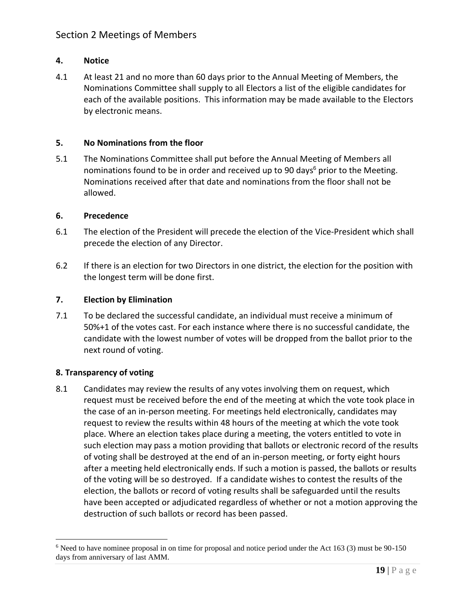## Section 2 Meetings of Members

## **4. Notice**

4.1 At least 21 and no more than 60 days prior to the Annual Meeting of Members, the Nominations Committee shall supply to all Electors a list of the eligible candidates for each of the available positions. This information may be made available to the Electors by electronic means.

#### **5. No Nominations from the floor**

5.1 The Nominations Committee shall put before the Annual Meeting of Members all nominations found to be in order and received up to 90 days $<sup>6</sup>$  prior to the Meeting.</sup> Nominations received after that date and nominations from the floor shall not be allowed.

#### **6. Precedence**

- 6.1 The election of the President will precede the election of the Vice-President which shall precede the election of any Director.
- 6.2 If there is an election for two Directors in one district, the election for the position with the longest term will be done first.

#### **7. Election by Elimination**

7.1 To be declared the successful candidate, an individual must receive a minimum of 50%+1 of the votes cast. For each instance where there is no successful candidate, the candidate with the lowest number of votes will be dropped from the ballot prior to the next round of voting.

#### **8. Transparency of voting**

8.1 Candidates may review the results of any votes involving them on request, which request must be received before the end of the meeting at which the vote took place in the case of an in-person meeting. For meetings held electronically, candidates may request to review the results within 48 hours of the meeting at which the vote took place. Where an election takes place during a meeting, the voters entitled to vote in such election may pass a motion providing that ballots or electronic record of the results of voting shall be destroyed at the end of an in-person meeting, or forty eight hours after a meeting held electronically ends. If such a motion is passed, the ballots or results of the voting will be so destroyed. If a candidate wishes to contest the results of the election, the ballots or record of voting results shall be safeguarded until the results have been accepted or adjudicated regardless of whether or not a motion approving the destruction of such ballots or record has been passed.

<sup>6</sup> Need to have nominee proposal in on time for proposal and notice period under the Act 163 (3) must be 90-150 days from anniversary of last AMM.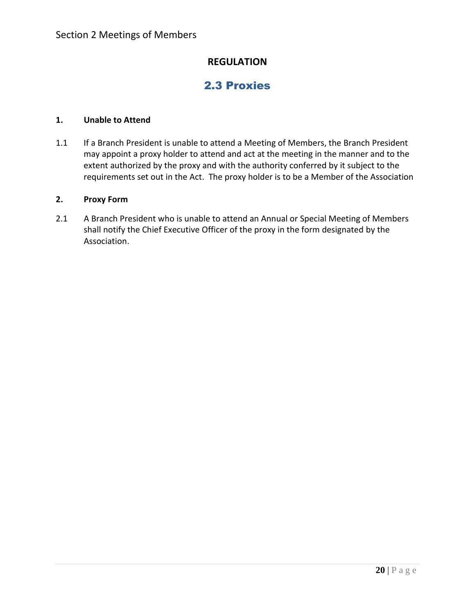## 2.3 Proxies

#### <span id="page-20-0"></span>**1. Unable to Attend**

1.1 If a Branch President is unable to attend a Meeting of Members, the Branch President may appoint a proxy holder to attend and act at the meeting in the manner and to the extent authorized by the proxy and with the authority conferred by it subject to the requirements set out in the Act. The proxy holder is to be a Member of the Association

#### **2. Proxy Form**

2.1 A Branch President who is unable to attend an Annual or Special Meeting of Members shall notify the Chief Executive Officer of the proxy in the form designated by the Association.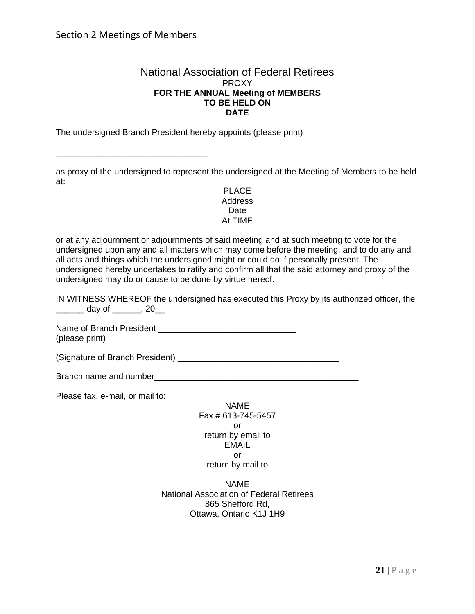\_\_\_\_\_\_\_\_\_\_\_\_\_\_\_\_\_\_\_\_\_\_\_\_\_\_\_\_\_\_\_\_

#### National Association of Federal Retirees PROXY **FOR THE ANNUAL Meeting of MEMBERS TO BE HELD ON DATE**

The undersigned Branch President hereby appoints (please print)

as proxy of the undersigned to represent the undersigned at the Meeting of Members to be held at:

> PLACE Address Date At TIME

or at any adjournment or adjournments of said meeting and at such meeting to vote for the undersigned upon any and all matters which may come before the meeting, and to do any and all acts and things which the undersigned might or could do if personally present. The undersigned hereby undertakes to ratify and confirm all that the said attorney and proxy of the undersigned may do or cause to be done by virtue hereof.

IN WITNESS WHEREOF the undersigned has executed this Proxy by its authorized officer, the \_\_\_\_\_\_ day of \_\_\_\_\_\_, 20\_\_

Name of Branch President \_\_\_\_\_\_\_\_\_\_\_\_\_\_\_\_\_\_\_\_\_\_\_\_\_\_\_\_\_ (please print)

(Signature of Branch President) \_\_\_\_\_\_\_\_\_\_\_\_\_\_\_\_\_\_\_\_\_\_\_\_\_\_\_\_\_\_\_\_\_\_

Branch name and number **Example 2008** 

Please fax, e-mail, or mail to:

NAME Fax # 613-745-5457 or return by email to EMAIL or return by mail to

NAME National Association of Federal Retirees 865 Shefford Rd, Ottawa, Ontario K1J 1H9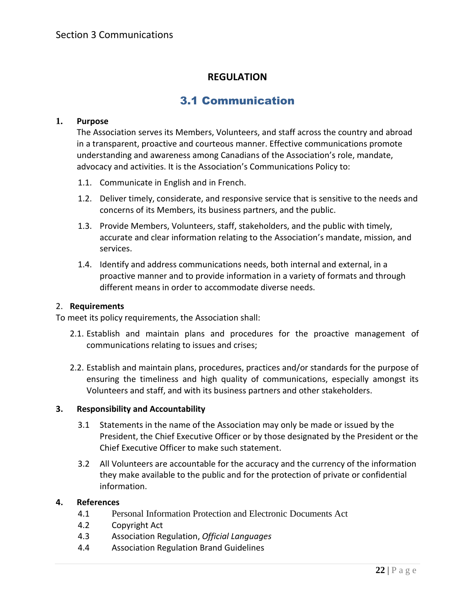## 3.1 Communication

#### <span id="page-22-1"></span><span id="page-22-0"></span>**1. Purpose**

The Association serves its Members, Volunteers, and staff across the country and abroad in a transparent, proactive and courteous manner. Effective communications promote understanding and awareness among Canadians of the Association's role, mandate, advocacy and activities. It is the Association's Communications Policy to:

- 1.1. Communicate in English and in French.
- 1.2. Deliver timely, considerate, and responsive service that is sensitive to the needs and concerns of its Members, its business partners, and the public.
- 1.3. Provide Members, Volunteers, staff, stakeholders, and the public with timely, accurate and clear information relating to the Association's mandate, mission, and services.
- 1.4. Identify and address communications needs, both internal and external, in a proactive manner and to provide information in a variety of formats and through different means in order to accommodate diverse needs.

#### 2. **Requirements**

To meet its policy requirements, the Association shall:

- 2.1. Establish and maintain plans and procedures for the proactive management of communications relating to issues and crises;
- 2.2. Establish and maintain plans, procedures, practices and/or standards for the purpose of ensuring the timeliness and high quality of communications, especially amongst its Volunteers and staff, and with its business partners and other stakeholders.

#### **3. Responsibility and Accountability**

- 3.1 Statements in the name of the Association may only be made or issued by the President, the Chief Executive Officer or by those designated by the President or the Chief Executive Officer to make such statement.
- 3.2 All Volunteers are accountable for the accuracy and the currency of the information they make available to the public and for the protection of private or confidential information.

#### **4. References**

- 4.1 Personal Information Protection and Electronic Documents Act
- 4.2 [Copyright Act](http://laws.justice.gc.ca/en/C-42/index.html)
- 4.3 Association Regulation, *[Official Languages](http://www.cbc.radio-canada.ca/en/reporting-to-canadians/acts-and-policies/management/human-resources/2-2-14/)*
- 4.4 Association Regulation Brand Guidelines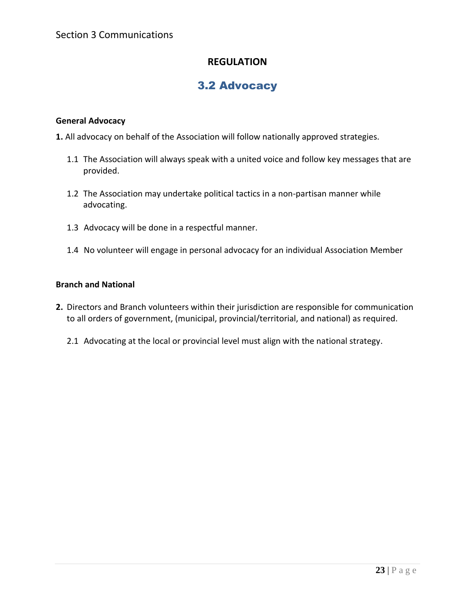## 3.2 Advocacy

## <span id="page-23-0"></span>**General Advocacy**

**1.** All advocacy on behalf of the Association will follow nationally approved strategies.

- 1.1 The Association will always speak with a united voice and follow key messages that are provided.
- 1.2 The Association may undertake political tactics in a non-partisan manner while advocating.
- 1.3 Advocacy will be done in a respectful manner.
- 1.4 No volunteer will engage in personal advocacy for an individual Association Member

## **Branch and National**

- **2.** Directors and Branch volunteers within their jurisdiction are responsible for communication to all orders of government, (municipal, provincial/territorial, and national) as required.
	- 2.1 Advocating at the local or provincial level must align with the national strategy.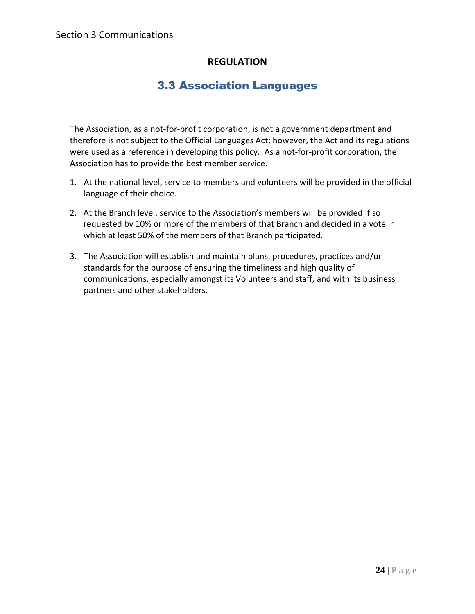## 3.3 Association Languages

<span id="page-24-0"></span>The Association, as a not-for-profit corporation, is not a government department and therefore is not subject to the Official Languages Act; however, the Act and its regulations were used as a reference in developing this policy. As a not-for-profit corporation, the Association has to provide the best member service.

- 1. At the national level, service to members and volunteers will be provided in the official language of their choice.
- 2. At the Branch level, service to the Association's members will be provided if so requested by 10% or more of the members of that Branch and decided in a vote in which at least 50% of the members of that Branch participated.
- 3. The Association will establish and maintain plans, procedures, practices and/or standards for the purpose of ensuring the timeliness and high quality of communications, especially amongst its Volunteers and staff, and with its business partners and other stakeholders.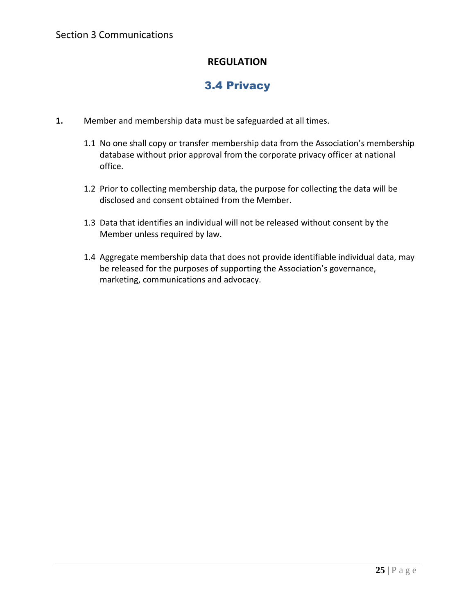## 3.4 Privacy

- <span id="page-25-0"></span>**1.** Member and membership data must be safeguarded at all times.
	- 1.1 No one shall copy or transfer membership data from the Association's membership database without prior approval from the corporate privacy officer at national office.
	- 1.2 Prior to collecting membership data, the purpose for collecting the data will be disclosed and consent obtained from the Member.
	- 1.3 Data that identifies an individual will not be released without consent by the Member unless required by law.
	- 1.4 Aggregate membership data that does not provide identifiable individual data, may be released for the purposes of supporting the Association's governance, marketing, communications and advocacy.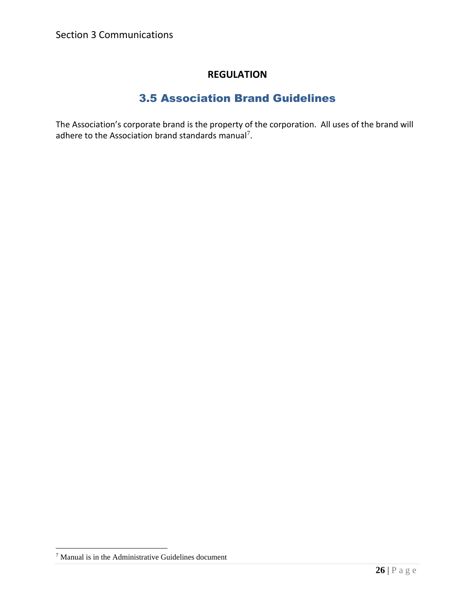## 3.5 Association Brand Guidelines

<span id="page-26-0"></span>The Association's corporate brand is the property of the corporation. All uses of the brand will adhere to the Association brand standards manual<sup>7</sup>.

<sup>7</sup> Manual is in the Administrative Guidelines document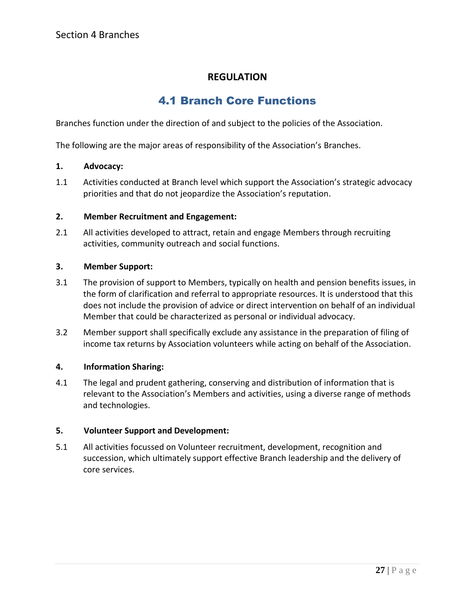## 4.1 Branch Core Functions

<span id="page-27-1"></span><span id="page-27-0"></span>Branches function under the direction of and subject to the policies of the Association.

The following are the major areas of responsibility of the Association's Branches.

#### **1. Advocacy:**

1.1 Activities conducted at Branch level which support the Association's strategic advocacy priorities and that do not jeopardize the Association's reputation.

#### **2. Member Recruitment and Engagement:**

2.1 All activities developed to attract, retain and engage Members through recruiting activities, community outreach and social functions.

#### **3. Member Support:**

- 3.1 The provision of support to Members, typically on health and pension benefits issues, in the form of clarification and referral to appropriate resources. It is understood that this does not include the provision of advice or direct intervention on behalf of an individual Member that could be characterized as personal or individual advocacy.
- 3.2 Member support shall specifically exclude any assistance in the preparation of filing of income tax returns by Association volunteers while acting on behalf of the Association.

#### **4. Information Sharing:**

4.1 The legal and prudent gathering, conserving and distribution of information that is relevant to the Association's Members and activities, using a diverse range of methods and technologies.

#### **5. Volunteer Support and Development:**

5.1 All activities focussed on Volunteer recruitment, development, recognition and succession, which ultimately support effective Branch leadership and the delivery of core services.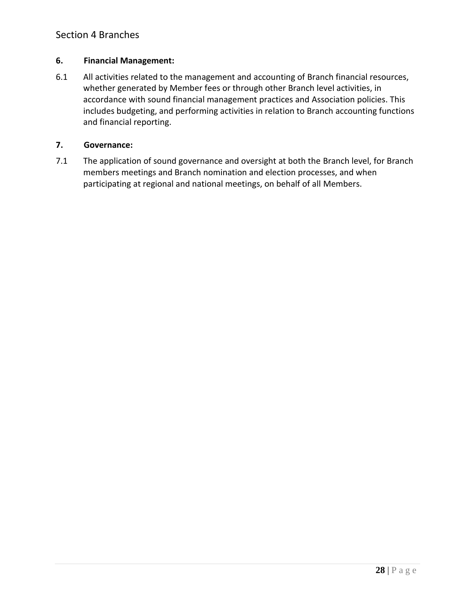## Section 4 Branches

#### **6. Financial Management:**

6.1 All activities related to the management and accounting of Branch financial resources, whether generated by Member fees or through other Branch level activities, in accordance with sound financial management practices and Association policies. This includes budgeting, and performing activities in relation to Branch accounting functions and financial reporting.

#### **7. Governance:**

7.1 The application of sound governance and oversight at both the Branch level, for Branch members meetings and Branch nomination and election processes, and when participating at regional and national meetings, on behalf of all Members.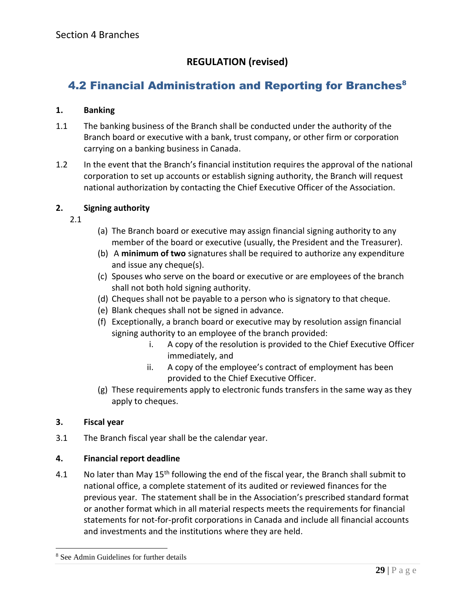## **REGULATION (revised)**

## <span id="page-29-0"></span>4.2 Financial Administration and Reporting for Branches<sup>8</sup>

## **1. Banking**

- 1.1 The banking business of the Branch shall be conducted under the authority of the Branch board or executive with a bank, trust company, or other firm or corporation carrying on a banking business in Canada.
- 1.2 In the event that the Branch's financial institution requires the approval of the national corporation to set up accounts or establish signing authority, the Branch will request national authorization by contacting the Chief Executive Officer of the Association.

## **2. Signing authority**

- 2.1
- (a) The Branch board or executive may assign financial signing authority to any member of the board or executive (usually, the President and the Treasurer).
- (b) A **minimum of two** signatures shall be required to authorize any expenditure and issue any cheque(s).
- (c) Spouses who serve on the board or executive or are employees of the branch shall not both hold signing authority.
- (d) Cheques shall not be payable to a person who is signatory to that cheque.
- (e) Blank cheques shall not be signed in advance.
- (f) Exceptionally, a branch board or executive may by resolution assign financial signing authority to an employee of the branch provided:
	- i. A copy of the resolution is provided to the Chief Executive Officer immediately, and
	- ii. A copy of the employee's contract of employment has been provided to the Chief Executive Officer.
- (g) These requirements apply to electronic funds transfers in the same way as they apply to cheques.

## **3. Fiscal year**

3.1 The Branch fiscal year shall be the calendar year.

## **4. Financial report deadline**

4.1 No later than May  $15<sup>th</sup>$  following the end of the fiscal year, the Branch shall submit to national office, a complete statement of its audited or reviewed finances for the previous year. The statement shall be in the Association's prescribed standard format or another format which in all material respects meets the requirements for financial statements for not-for-profit corporations in Canada and include all financial accounts and investments and the institutions where they are held.

<sup>8</sup> See Admin Guidelines for further details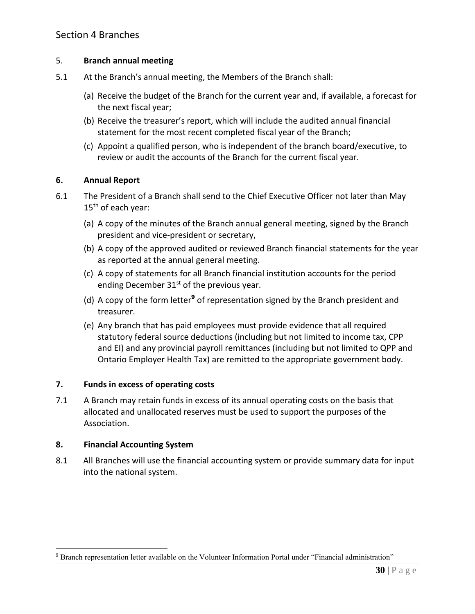## 5. **Branch annual meeting**

- 5.1 At the Branch's annual meeting, the Members of the Branch shall:
	- (a) Receive the budget of the Branch for the current year and, if available, a forecast for the next fiscal year;
	- (b) Receive the treasurer's report, which will include the audited annual financial statement for the most recent completed fiscal year of the Branch;
	- (c) Appoint a qualified person, who is independent of the branch board/executive, to review or audit the accounts of the Branch for the current fiscal year.

## **6. Annual Report**

- 6.1 The President of a Branch shall send to the Chief Executive Officer not later than May  $15<sup>th</sup>$  of each year:
	- (a) A copy of the minutes of the Branch annual general meeting, signed by the Branch president and vice-president or secretary,
	- (b) A copy of the approved audited or reviewed Branch financial statements for the year as reported at the annual general meeting.
	- (c) A copy of statements for all Branch financial institution accounts for the period ending December  $31<sup>st</sup>$  of the previous year.
	- (d) A copy of the form letter<sup>9</sup> of representation signed by the Branch president and treasurer.
	- (e) Any branch that has paid employees must provide evidence that all required statutory federal source deductions (including but not limited to income tax, CPP and EI) and any provincial payroll remittances (including but not limited to QPP and Ontario Employer Health Tax) are remitted to the appropriate government body.

## **7. Funds in excess of operating costs**

7.1 A Branch may retain funds in excess of its annual operating costs on the basis that allocated and unallocated reserves must be used to support the purposes of the Association.

#### **8. Financial Accounting System**

8.1 All Branches will use the financial accounting system or provide summary data for input into the national system.

<sup>9</sup> Branch representation letter available on the Volunteer Information Portal under "Financial administration"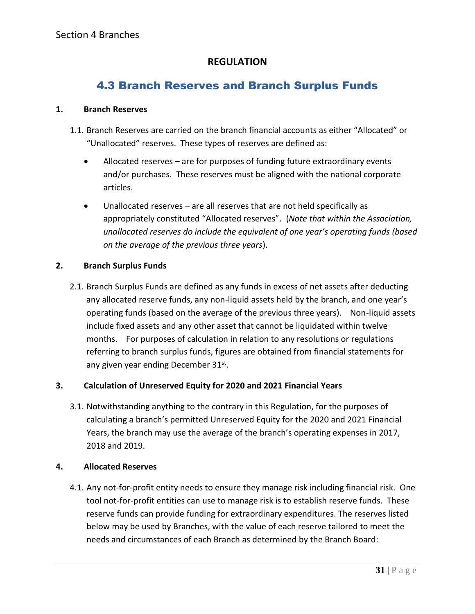## 4.3 Branch Reserves and Branch Surplus Funds

#### <span id="page-31-0"></span>**1. Branch Reserves**

- 1.1. Branch Reserves are carried on the branch financial accounts as either "Allocated" or "Unallocated" reserves. These types of reserves are defined as:
	- Allocated reserves are for purposes of funding future extraordinary events and/or purchases. These reserves must be aligned with the national corporate articles.
	- Unallocated reserves are all reserves that are not held specifically as appropriately constituted "Allocated reserves". (*Note that within the Association, unallocated reserves do include the equivalent of one year's operating funds (based on the average of the previous three years*).

## **2. Branch Surplus Funds**

2.1. Branch Surplus Funds are defined as any funds in excess of net assets after deducting any allocated reserve funds, any non-liquid assets held by the branch, and one year's operating funds (based on the average of the previous three years). Non-liquid assets include fixed assets and any other asset that cannot be liquidated within twelve months. For purposes of calculation in relation to any resolutions or regulations referring to branch surplus funds, figures are obtained from financial statements for any given year ending December 31st.

## **3. Calculation of Unreserved Equity for 2020 and 2021 Financial Years**

3.1. Notwithstanding anything to the contrary in this Regulation, for the purposes of calculating a branch's permitted Unreserved Equity for the 2020 and 2021 Financial Years, the branch may use the average of the branch's operating expenses in 2017, 2018 and 2019.

## **4. Allocated Reserves**

4.1. Any not-for-profit entity needs to ensure they manage risk including financial risk. One tool not-for-profit entities can use to manage risk is to establish reserve funds. These reserve funds can provide funding for extraordinary expenditures. The reserves listed below may be used by Branches, with the value of each reserve tailored to meet the needs and circumstances of each Branch as determined by the Branch Board: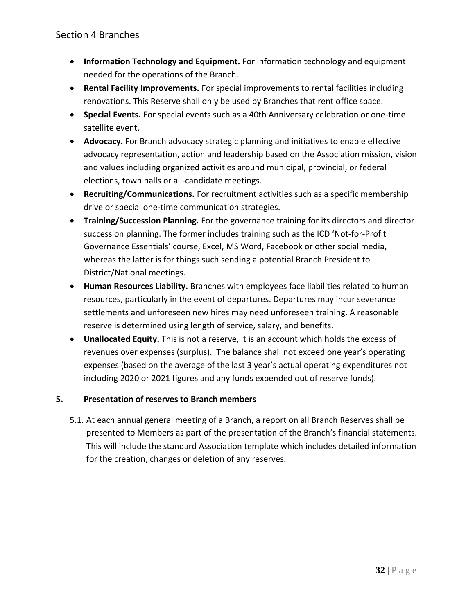## Section 4 Branches

- **Information Technology and Equipment.** For information technology and equipment needed for the operations of the Branch.
- **Rental Facility Improvements.** For special improvements to rental facilities including renovations. This Reserve shall only be used by Branches that rent office space.
- **Special Events.** For special events such as a 40th Anniversary celebration or one-time satellite event.
- **Advocacy.** For Branch advocacy strategic planning and initiatives to enable effective advocacy representation, action and leadership based on the Association mission, vision and values including organized activities around municipal, provincial, or federal elections, town halls or all-candidate meetings.
- **Recruiting/Communications.** For recruitment activities such as a specific membership drive or special one-time communication strategies.
- **Training/Succession Planning.** For the governance training for its directors and director succession planning. The former includes training such as the ICD 'Not-for-Profit Governance Essentials' course, Excel, MS Word, Facebook or other social media, whereas the latter is for things such sending a potential Branch President to District/National meetings.
- **Human Resources Liability.** Branches with employees face liabilities related to human resources, particularly in the event of departures. Departures may incur severance settlements and unforeseen new hires may need unforeseen training. A reasonable reserve is determined using length of service, salary, and benefits.
- **Unallocated Equity.** This is not a reserve, it is an account which holds the excess of revenues over expenses (surplus). The balance shall not exceed one year's operating expenses (based on the average of the last 3 year's actual operating expenditures not including 2020 or 2021 figures and any funds expended out of reserve funds).

## **5. Presentation of reserves to Branch members**

5.1. At each annual general meeting of a Branch, a report on all Branch Reserves shall be presented to Members as part of the presentation of the Branch's financial statements. This will include the standard Association template which includes detailed information for the creation, changes or deletion of any reserves.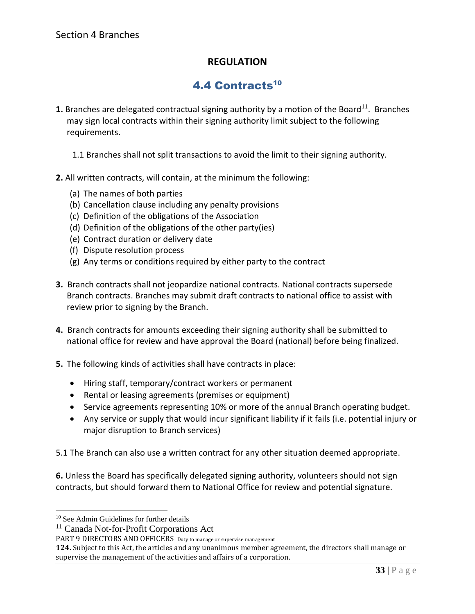## 4.4 Contracts<sup>10</sup>

- <span id="page-33-0"></span>**1.** Branches are delegated contractual signing authority by a motion of the Board<sup>11</sup>. Branches may sign local contracts within their signing authority limit subject to the following requirements.
	- 1.1 Branches shall not split transactions to avoid the limit to their signing authority.
- **2.** All written contracts, will contain, at the minimum the following:
	- (a) The names of both parties
	- (b) Cancellation clause including any penalty provisions
	- (c) Definition of the obligations of the Association
	- (d) Definition of the obligations of the other party(ies)
	- (e) Contract duration or delivery date
	- (f) Dispute resolution process
	- (g) Any terms or conditions required by either party to the contract
- **3.** Branch contracts shall not jeopardize national contracts. National contracts supersede Branch contracts. Branches may submit draft contracts to national office to assist with review prior to signing by the Branch.
- **4.** Branch contracts for amounts exceeding their signing authority shall be submitted to national office for review and have approval the Board (national) before being finalized.
- **5.** The following kinds of activities shall have contracts in place:
	- Hiring staff, temporary/contract workers or permanent
	- Rental or leasing agreements (premises or equipment)
	- Service agreements representing 10% or more of the annual Branch operating budget.
	- Any service or supply that would incur significant liability if it fails (i.e. potential injury or major disruption to Branch services)

5.1 The Branch can also use a written contract for any other situation deemed appropriate.

**6.** Unless the Board has specifically delegated signing authority, volunteers should not sign contracts, but should forward them to National Office for review and potential signature.

<sup>&</sup>lt;sup>10</sup> See Admin Guidelines for further details

<sup>11</sup> Canada Not-for-Profit Corporations Act

PART 9 DIRECTORS AND OFFICERS Duty to manage or supervise management

**<sup>124.</sup>** Subject to this Act, the articles and any unanimous member agreement, the directors shall manage or supervise the management of the activities and affairs of a corporation.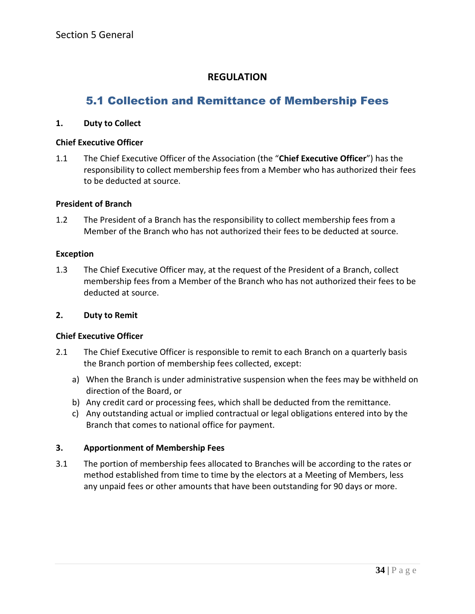## <span id="page-34-1"></span><span id="page-34-0"></span>5.1 Collection and Remittance of Membership Fees

#### **1. Duty to Collect**

#### **Chief Executive Officer**

1.1 The Chief Executive Officer of the Association (the "**Chief Executive Officer**") has the responsibility to collect membership fees from a Member who has authorized their fees to be deducted at source.

#### **President of Branch**

1.2 The President of a Branch has the responsibility to collect membership fees from a Member of the Branch who has not authorized their fees to be deducted at source.

#### **Exception**

1.3 The Chief Executive Officer may, at the request of the President of a Branch, collect membership fees from a Member of the Branch who has not authorized their fees to be deducted at source.

#### **2. Duty to Remit**

#### **Chief Executive Officer**

- 2.1 The Chief Executive Officer is responsible to remit to each Branch on a quarterly basis the Branch portion of membership fees collected, except:
	- a) When the Branch is under administrative suspension when the fees may be withheld on direction of the Board, or
	- b) Any credit card or processing fees, which shall be deducted from the remittance.
	- c) Any outstanding actual or implied contractual or legal obligations entered into by the Branch that comes to national office for payment.

#### **3. Apportionment of Membership Fees**

3.1 The portion of membership fees allocated to Branches will be according to the rates or method established from time to time by the electors at a Meeting of Members, less any unpaid fees or other amounts that have been outstanding for 90 days or more.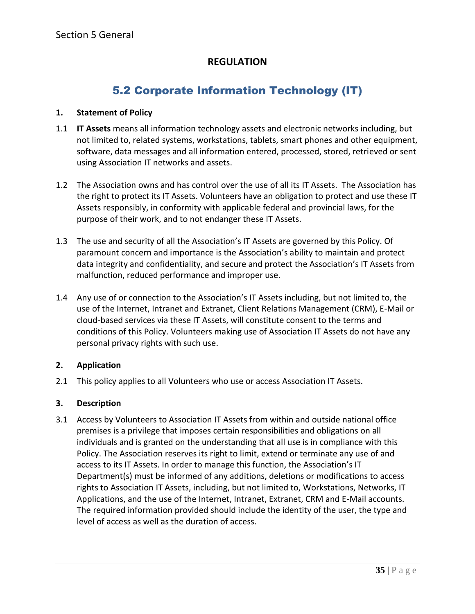## 5.2 Corporate Information Technology (IT)

#### <span id="page-35-0"></span>**1. Statement of Policy**

- 1.1 **IT Assets** means all information technology assets and electronic networks including, but not limited to, related systems, workstations, tablets, smart phones and other equipment, software, data messages and all information entered, processed, stored, retrieved or sent using Association IT networks and assets.
- 1.2 The Association owns and has control over the use of all its IT Assets. The Association has the right to protect its IT Assets. Volunteers have an obligation to protect and use these IT Assets responsibly, in conformity with applicable federal and provincial laws, for the purpose of their work, and to not endanger these IT Assets.
- 1.3 The use and security of all the Association's IT Assets are governed by this Policy. Of paramount concern and importance is the Association's ability to maintain and protect data integrity and confidentiality, and secure and protect the Association's IT Assets from malfunction, reduced performance and improper use.
- 1.4 Any use of or connection to the Association's IT Assets including, but not limited to, the use of the Internet, Intranet and Extranet, Client Relations Management (CRM), E-Mail or cloud-based services via these IT Assets, will constitute consent to the terms and conditions of this Policy. Volunteers making use of Association IT Assets do not have any personal privacy rights with such use.

## **2. Application**

2.1 This policy applies to all Volunteers who use or access Association IT Assets.

## **3. Description**

3.1 Access by Volunteers to Association IT Assets from within and outside national office premises is a privilege that imposes certain responsibilities and obligations on all individuals and is granted on the understanding that all use is in compliance with this Policy. The Association reserves its right to limit, extend or terminate any use of and access to its IT Assets. In order to manage this function, the Association's IT Department(s) must be informed of any additions, deletions or modifications to access rights to Association IT Assets, including, but not limited to, Workstations, Networks, IT Applications, and the use of the Internet, Intranet, Extranet, CRM and E-Mail accounts. The required information provided should include the identity of the user, the type and level of access as well as the duration of access.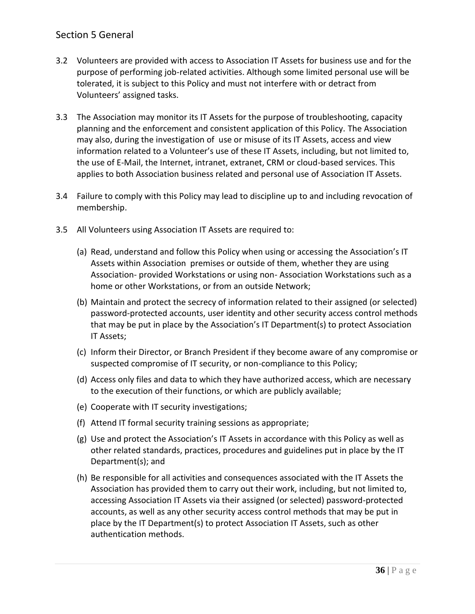## Section 5 General

- 3.2 Volunteers are provided with access to Association IT Assets for business use and for the purpose of performing job-related activities. Although some limited personal use will be tolerated, it is subject to this Policy and must not interfere with or detract from Volunteers' assigned tasks.
- 3.3 The Association may monitor its IT Assets for the purpose of troubleshooting, capacity planning and the enforcement and consistent application of this Policy. The Association may also, during the investigation of use or misuse of its IT Assets, access and view information related to a Volunteer's use of these IT Assets, including, but not limited to, the use of E-Mail, the Internet, intranet, extranet, CRM or cloud-based services. This applies to both Association business related and personal use of Association IT Assets.
- 3.4 Failure to comply with this Policy may lead to discipline up to and including revocation of membership.
- 3.5 All Volunteers using Association IT Assets are required to:
	- (a) Read, understand and follow this Policy when using or accessing the Association's IT Assets within Association premises or outside of them, whether they are using Association- provided Workstations or using non- Association Workstations such as a home or other Workstations, or from an outside Network;
	- (b) Maintain and protect the secrecy of information related to their assigned (or selected) password-protected accounts, user identity and other security access control methods that may be put in place by the Association's IT Department(s) to protect Association IT Assets;
	- (c) Inform their Director, or Branch President if they become aware of any compromise or suspected compromise of IT security, or non-compliance to this Policy;
	- (d) Access only files and data to which they have authorized access, which are necessary to the execution of their functions, or which are publicly available;
	- (e) Cooperate with IT security investigations;
	- (f) Attend IT formal security training sessions as appropriate;
	- (g) Use and protect the Association's IT Assets in accordance with this Policy as well as other related standards, practices, procedures and guidelines put in place by the IT Department(s); and
	- (h) Be responsible for all activities and consequences associated with the IT Assets the Association has provided them to carry out their work, including, but not limited to, accessing Association IT Assets via their assigned (or selected) password-protected accounts, as well as any other security access control methods that may be put in place by the IT Department(s) to protect Association IT Assets, such as other authentication methods.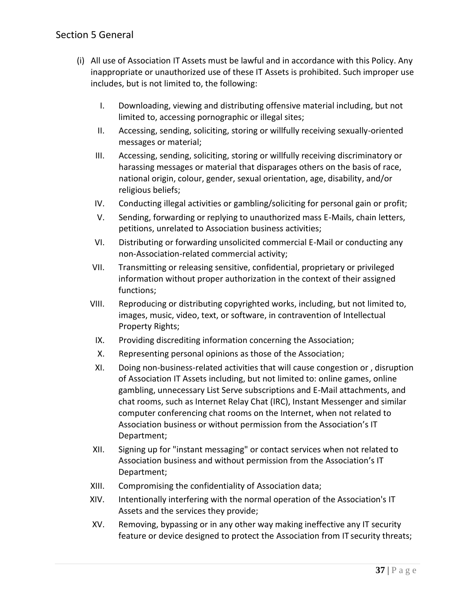## Section 5 General

- (i) All use of Association IT Assets must be lawful and in accordance with this Policy. Any inappropriate or unauthorized use of these IT Assets is prohibited. Such improper use includes, but is not limited to, the following:
	- I. Downloading, viewing and distributing offensive material including, but not limited to, accessing pornographic or illegal sites;
	- II. Accessing, sending, soliciting, storing or willfully receiving sexually-oriented messages or material;
	- III. Accessing, sending, soliciting, storing or willfully receiving discriminatory or harassing messages or material that disparages others on the basis of race, national origin, colour, gender, sexual orientation, age, disability, and/or religious beliefs;
	- IV. Conducting illegal activities or gambling/soliciting for personal gain or profit;
	- V. Sending, forwarding or replying to unauthorized mass E-Mails, chain letters, petitions, unrelated to Association business activities;
	- VI. Distributing or forwarding unsolicited commercial E-Mail or conducting any non-Association-related commercial activity;
	- VII. Transmitting or releasing sensitive, confidential, proprietary or privileged information without proper authorization in the context of their assigned functions;
	- VIII. Reproducing or distributing copyrighted works, including, but not limited to, images, music, video, text, or software, in contravention of Intellectual Property Rights;
		- IX. Providing discrediting information concerning the Association;
		- X. Representing personal opinions as those of the Association;
		- XI. Doing non-business-related activities that will cause congestion or , disruption of Association IT Assets including, but not limited to: online games, online gambling, unnecessary List Serve subscriptions and E-Mail attachments, and chat rooms, such as Internet Relay Chat (IRC), Instant Messenger and similar computer conferencing chat rooms on the Internet, when not related to Association business or without permission from the Association's IT Department;
	- XII. Signing up for "instant messaging" or contact services when not related to Association business and without permission from the Association's IT Department;
	- XIII. Compromising the confidentiality of Association data;
	- XIV. Intentionally interfering with the normal operation of the Association's IT Assets and the services they provide;
	- XV. Removing, bypassing or in any other way making ineffective any IT security feature or device designed to protect the Association from IT security threats;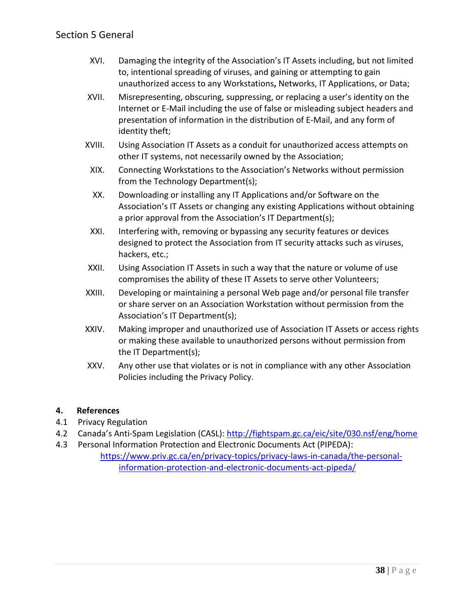- XVI. Damaging the integrity of the Association's IT Assets including, but not limited to, intentional spreading of viruses, and gaining or attempting to gain unauthorized access to any Workstations**,** Networks, IT Applications, or Data;
- XVII. Misrepresenting, obscuring, suppressing, or replacing a user's identity on the Internet or E-Mail including the use of false or misleading subject headers and presentation of information in the distribution of E-Mail, and any form of identity theft;
- XVIII. Using Association IT Assets as a conduit for unauthorized access attempts on other IT systems, not necessarily owned by the Association;
- XIX. Connecting Workstations to the Association's Networks without permission from the Technology Department(s);
- XX. Downloading or installing any IT Applications and/or Software on the Association's IT Assets or changing any existing Applications without obtaining a prior approval from the Association's IT Department(s);
- XXI. Interfering with, removing or bypassing any security features or devices designed to protect the Association from IT security attacks such as viruses, hackers, etc.;
- XXII. Using Association IT Assets in such a way that the nature or volume of use compromises the ability of these IT Assets to serve other Volunteers;
- XXIII. Developing or maintaining a personal Web page and/or personal file transfer or share server on an Association Workstation without permission from the Association's IT Department(s);
- XXIV. Making improper and unauthorized use of Association IT Assets or access rights or making these available to unauthorized persons without permission from the IT Department(s);
- XXV. Any other use that violates or is not in compliance with any other Association Policies including the Privacy Policy.

## **4. References**

- 4.1 Privacy Regulation
- 4.2 Canada's Anti-Spam Legislation (CASL):<http://fightspam.gc.ca/eic/site/030.nsf/eng/home>
- 4.3 Personal Information Protection and Electronic Documents Act (PIPEDA):

[https://www.priv.gc.ca/en/privacy-topics/privacy-laws-in-canada/the-personal](https://www.priv.gc.ca/en/privacy-topics/privacy-laws-in-canada/the-personal-information-protection-and-electronic-documents-act-pipeda/)[information-protection-and-electronic-documents-act-pipeda/](https://www.priv.gc.ca/en/privacy-topics/privacy-laws-in-canada/the-personal-information-protection-and-electronic-documents-act-pipeda/)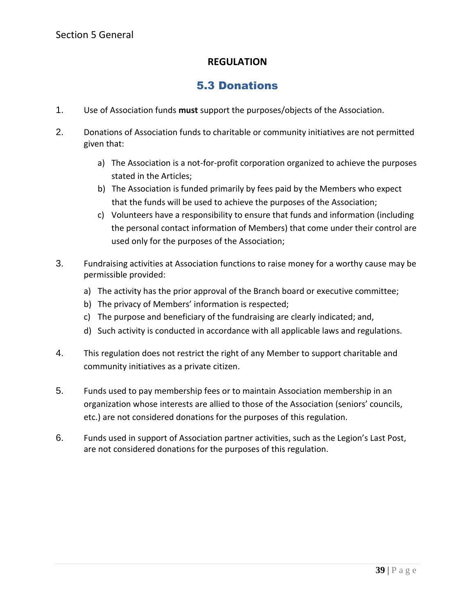## 5.3 Donations

- <span id="page-39-0"></span>1. Use of Association funds **must** support the purposes/objects of the Association.
- 2. Donations of Association funds to charitable or community initiatives are not permitted given that:
	- a) The Association is a not-for-profit corporation organized to achieve the purposes stated in the Articles;
	- b) The Association is funded primarily by fees paid by the Members who expect that the funds will be used to achieve the purposes of the Association;
	- c) Volunteers have a responsibility to ensure that funds and information (including the personal contact information of Members) that come under their control are used only for the purposes of the Association;
- 3. Fundraising activities at Association functions to raise money for a worthy cause may be permissible provided:
	- a) The activity has the prior approval of the Branch board or executive committee;
	- b) The privacy of Members' information is respected;
	- c) The purpose and beneficiary of the fundraising are clearly indicated; and,
	- d) Such activity is conducted in accordance with all applicable laws and regulations.
- 4. This regulation does not restrict the right of any Member to support charitable and community initiatives as a private citizen.
- 5. Funds used to pay membership fees or to maintain Association membership in an organization whose interests are allied to those of the Association (seniors' councils, etc.) are not considered donations for the purposes of this regulation.
- 6. Funds used in support of Association partner activities, such as the Legion's Last Post, are not considered donations for the purposes of this regulation.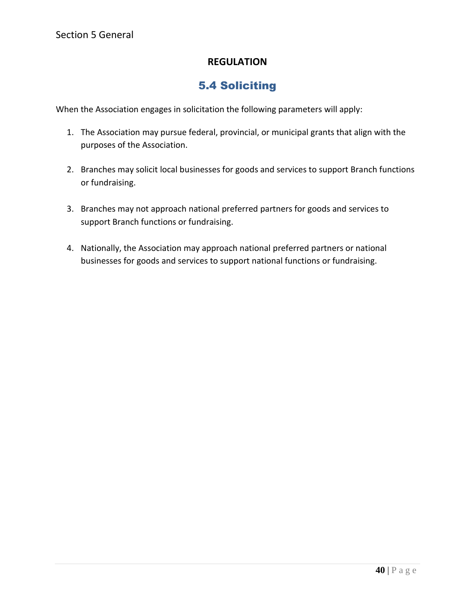## 5.4 Soliciting

<span id="page-40-0"></span>When the Association engages in solicitation the following parameters will apply:

- 1. The Association may pursue federal, provincial, or municipal grants that align with the purposes of the Association.
- 2. Branches may solicit local businesses for goods and services to support Branch functions or fundraising.
- 3. Branches may not approach national preferred partners for goods and services to support Branch functions or fundraising.
- 4. Nationally, the Association may approach national preferred partners or national businesses for goods and services to support national functions or fundraising.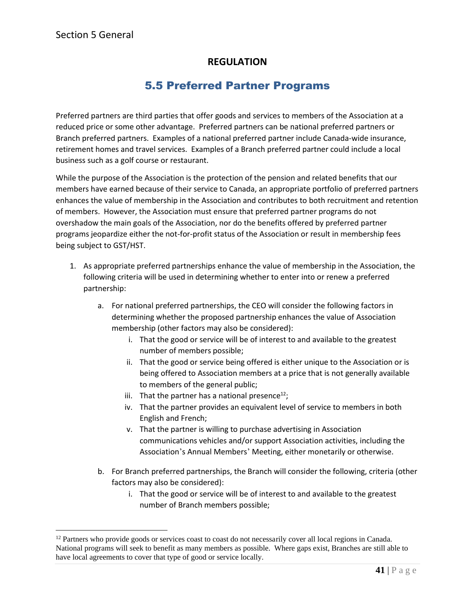## 5.5 Preferred Partner Programs

<span id="page-41-0"></span>Preferred partners are third parties that offer goods and services to members of the Association at a reduced price or some other advantage. Preferred partners can be national preferred partners or Branch preferred partners. Examples of a national preferred partner include Canada-wide insurance, retirement homes and travel services. Examples of a Branch preferred partner could include a local business such as a golf course or restaurant.

While the purpose of the Association is the protection of the pension and related benefits that our members have earned because of their service to Canada, an appropriate portfolio of preferred partners enhances the value of membership in the Association and contributes to both recruitment and retention of members. However, the Association must ensure that preferred partner programs do not overshadow the main goals of the Association, nor do the benefits offered by preferred partner programs jeopardize either the not-for-profit status of the Association or result in membership fees being subject to GST/HST.

- 1. As appropriate preferred partnerships enhance the value of membership in the Association, the following criteria will be used in determining whether to enter into or renew a preferred partnership:
	- a. For national preferred partnerships, the CEO will consider the following factors in determining whether the proposed partnership enhances the value of Association membership (other factors may also be considered):
		- i. That the good or service will be of interest to and available to the greatest number of members possible;
		- ii. That the good or service being offered is either unique to the Association or is being offered to Association members at a price that is not generally available to members of the general public;
		- iii. That the partner has a national presence $^{12}$ ;
		- iv. That the partner provides an equivalent level of service to members in both English and French;
		- v. That the partner is willing to purchase advertising in Association communications vehicles and/or support Association activities, including the Association's Annual Members' Meeting, either monetarily or otherwise.
	- b. For Branch preferred partnerships, the Branch will consider the following, criteria (other factors may also be considered):
		- i. That the good or service will be of interest to and available to the greatest number of Branch members possible;

<sup>&</sup>lt;sup>12</sup> Partners who provide goods or services coast to coast do not necessarily cover all local regions in Canada. National programs will seek to benefit as many members as possible. Where gaps exist, Branches are still able to have local agreements to cover that type of good or service locally.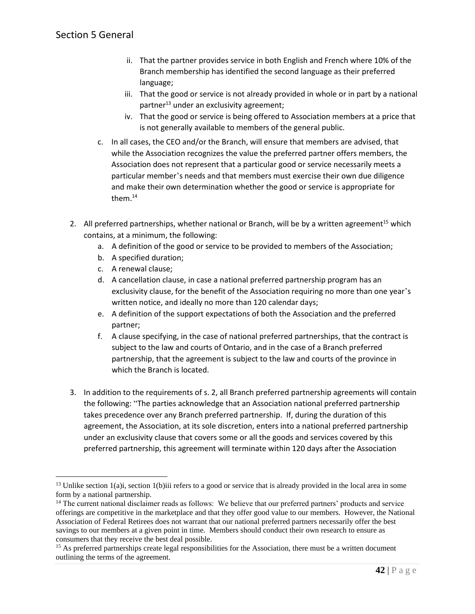- ii. That the partner provides service in both English and French where 10% of the Branch membership has identified the second language as their preferred language;
- iii. That the good or service is not already provided in whole or in part by a national partner $^{13}$  under an exclusivity agreement;
- iv. That the good or service is being offered to Association members at a price that is not generally available to members of the general public.
- c. In all cases, the CEO and/or the Branch, will ensure that members are advised, that while the Association recognizes the value the preferred partner offers members, the Association does not represent that a particular good or service necessarily meets a particular member's needs and that members must exercise their own due diligence and make their own determination whether the good or service is appropriate for them.<sup>14</sup>
- 2. All preferred partnerships, whether national or Branch, will be by a written agreement<sup>15</sup> which contains, at a minimum, the following:
	- a. A definition of the good or service to be provided to members of the Association;
	- b. A specified duration;
	- c. A renewal clause;
	- d. A cancellation clause, in case a national preferred partnership program has an exclusivity clause, for the benefit of the Association requiring no more than one year's written notice, and ideally no more than 120 calendar days;
	- e. A definition of the support expectations of both the Association and the preferred partner;
	- f. A clause specifying, in the case of national preferred partnerships, that the contract is subject to the law and courts of Ontario, and in the case of a Branch preferred partnership, that the agreement is subject to the law and courts of the province in which the Branch is located.
- 3. In addition to the requirements of s. 2, all Branch preferred partnership agreements will contain the following: "The parties acknowledge that an Association national preferred partnership takes precedence over any Branch preferred partnership. If, during the duration of this agreement, the Association, at its sole discretion, enters into a national preferred partnership under an exclusivity clause that covers some or all the goods and services covered by this preferred partnership, this agreement will terminate within 120 days after the Association

 $13$  Unlike section 1(a)i, section 1(b)iii refers to a good or service that is already provided in the local area in some form by a national partnership.

<sup>&</sup>lt;sup>14</sup> The current national disclaimer reads as follows: We believe that our preferred partners' products and service offerings are competitive in the marketplace and that they offer good value to our members. However, the National Association of Federal Retirees does not warrant that our national preferred partners necessarily offer the best savings to our members at a given point in time. Members should conduct their own research to ensure as consumers that they receive the best deal possible.

<sup>&</sup>lt;sup>15</sup> As preferred partnerships create legal responsibilities for the Association, there must be a written document outlining the terms of the agreement.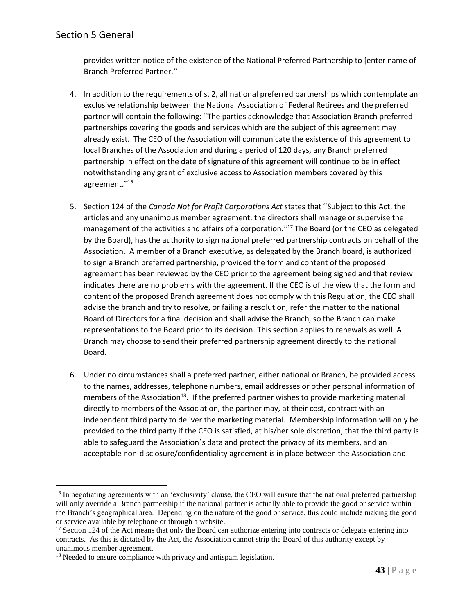provides written notice of the existence of the National Preferred Partnership to [enter name of Branch Preferred Partner."

- 4. In addition to the requirements of s. 2, all national preferred partnerships which contemplate an exclusive relationship between the National Association of Federal Retirees and the preferred partner will contain the following: "The parties acknowledge that Association Branch preferred partnerships covering the goods and services which are the subject of this agreement may already exist. The CEO of the Association will communicate the existence of this agreement to local Branches of the Association and during a period of 120 days, any Branch preferred partnership in effect on the date of signature of this agreement will continue to be in effect notwithstanding any grant of exclusive access to Association members covered by this agreement."<sup>16</sup>
- 5. Section 124 of the *Canada Not for Profit Corporations Act* states that "Subject to this Act, the articles and any unanimous member agreement, the directors shall manage or supervise the management of the activities and affairs of a corporation."<sup>17</sup> The Board (or the CEO as delegated by the Board), has the authority to sign national preferred partnership contracts on behalf of the Association. A member of a Branch executive, as delegated by the Branch board, is authorized to sign a Branch preferred partnership, provided the form and content of the proposed agreement has been reviewed by the CEO prior to the agreement being signed and that review indicates there are no problems with the agreement. If the CEO is of the view that the form and content of the proposed Branch agreement does not comply with this Regulation, the CEO shall advise the branch and try to resolve, or failing a resolution, refer the matter to the national Board of Directors for a final decision and shall advise the Branch, so the Branch can make representations to the Board prior to its decision. This section applies to renewals as well. A Branch may choose to send their preferred partnership agreement directly to the national Board.
- 6. Under no circumstances shall a preferred partner, either national or Branch, be provided access to the names, addresses, telephone numbers, email addresses or other personal information of members of the Association<sup>18</sup>. If the preferred partner wishes to provide marketing material directly to members of the Association, the partner may, at their cost, contract with an independent third party to deliver the marketing material. Membership information will only be provided to the third party if the CEO is satisfied, at his/her sole discretion, that the third party is able to safeguard the Association's data and protect the privacy of its members, and an acceptable non-disclosure/confidentiality agreement is in place between the Association and

<sup>&</sup>lt;sup>16</sup> In negotiating agreements with an 'exclusivity' clause, the CEO will ensure that the national preferred partnership will only override a Branch partnership if the national partner is actually able to provide the good or service within the Branch's geographical area. Depending on the nature of the good or service, this could include making the good or service available by telephone or through a website.

 $17$  Section 124 of the Act means that only the Board can authorize entering into contracts or delegate entering into contracts. As this is dictated by the Act, the Association cannot strip the Board of this authority except by unanimous member agreement.

<sup>&</sup>lt;sup>18</sup> Needed to ensure compliance with privacy and antispam legislation.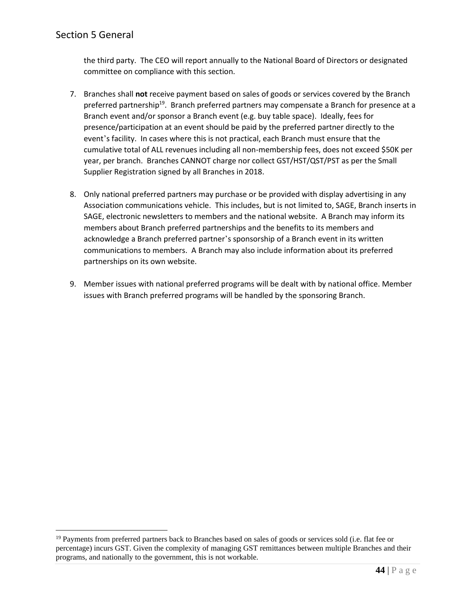the third party. The CEO will report annually to the National Board of Directors or designated committee on compliance with this section.

- 7. Branches shall **not** receive payment based on sales of goods or services covered by the Branch preferred partnership<sup>19</sup>. Branch preferred partners may compensate a Branch for presence at a Branch event and/or sponsor a Branch event (e.g. buy table space). Ideally, fees for presence/participation at an event should be paid by the preferred partner directly to the event's facility. In cases where this is not practical, each Branch must ensure that the cumulative total of ALL revenues including all non-membership fees, does not exceed \$50K per year, per branch. Branches CANNOT charge nor collect GST/HST/QST/PST as per the Small Supplier Registration signed by all Branches in 2018.
- 8. Only national preferred partners may purchase or be provided with display advertising in any Association communications vehicle. This includes, but is not limited to, SAGE, Branch inserts in SAGE, electronic newsletters to members and the national website. A Branch may inform its members about Branch preferred partnerships and the benefits to its members and acknowledge a Branch preferred partner's sponsorship of a Branch event in its written communications to members. A Branch may also include information about its preferred partnerships on its own website.
- 9. Member issues with national preferred programs will be dealt with by national office. Member issues with Branch preferred programs will be handled by the sponsoring Branch.

<sup>&</sup>lt;sup>19</sup> Payments from preferred partners back to Branches based on sales of goods or services sold (i.e. flat fee or percentage) incurs GST. Given the complexity of managing GST remittances between multiple Branches and their programs, and nationally to the government, this is not workable.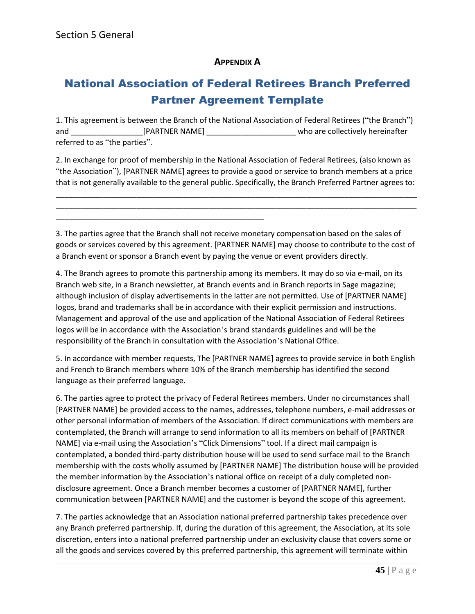## **APPENDIX A**

## National Association of Federal Retirees Branch Preferred Partner Agreement Template

1. This agreement is between the Branch of the National Association of Federal Retirees ("the Branch") and \_\_\_\_\_\_\_\_\_\_\_\_\_\_\_\_\_\_\_\_\_[PARTNER NAME] \_\_\_\_\_\_\_\_\_\_\_\_\_\_\_\_\_\_\_\_\_\_\_\_\_\_\_who are collectively hereinafter referred to as "the parties".

2. In exchange for proof of membership in the National Association of Federal Retirees, (also known as "the Association"), [PARTNER NAME] agrees to provide a good or service to branch members at a price that is not generally available to the general public. Specifically, the Branch Preferred Partner agrees to:

\_\_\_\_\_\_\_\_\_\_\_\_\_\_\_\_\_\_\_\_\_\_\_\_\_\_\_\_\_\_\_\_\_\_\_\_\_\_\_\_\_\_\_\_\_\_\_\_\_\_\_\_\_\_\_\_\_\_\_\_\_\_\_\_\_\_\_\_\_\_\_\_\_\_\_\_\_\_\_\_\_\_\_\_\_ \_\_\_\_\_\_\_\_\_\_\_\_\_\_\_\_\_\_\_\_\_\_\_\_\_\_\_\_\_\_\_\_\_\_\_\_\_\_\_\_\_\_\_\_\_\_\_\_\_\_\_\_\_\_\_\_\_\_\_\_\_\_\_\_\_\_\_\_\_\_\_\_\_\_\_\_\_\_\_\_\_\_\_\_\_

\_\_\_\_\_\_\_\_\_\_\_\_\_\_\_\_\_\_\_\_\_\_\_\_\_\_\_\_\_\_\_\_\_\_\_\_\_\_\_\_\_\_\_\_\_\_\_\_\_

3. The parties agree that the Branch shall not receive monetary compensation based on the sales of goods or services covered by this agreement. [PARTNER NAME] may choose to contribute to the cost of a Branch event or sponsor a Branch event by paying the venue or event providers directly.

4. The Branch agrees to promote this partnership among its members. It may do so via e-mail, on its Branch web site, in a Branch newsletter, at Branch events and in Branch reports in Sage magazine; although inclusion of display advertisements in the latter are not permitted. Use of [PARTNER NAME] logos, brand and trademarks shall be in accordance with their explicit permission and instructions. Management and approval of the use and application of the National Association of Federal Retirees logos will be in accordance with the Association's brand standards guidelines and will be the responsibility of the Branch in consultation with the Association's National Office.

5. In accordance with member requests, The [PARTNER NAME] agrees to provide service in both English and French to Branch members where 10% of the Branch membership has identified the second language as their preferred language.

6. The parties agree to protect the privacy of Federal Retirees members. Under no circumstances shall [PARTNER NAME] be provided access to the names, addresses, telephone numbers, e-mail addresses or other personal information of members of the Association. If direct communications with members are contemplated, the Branch will arrange to send information to all its members on behalf of [PARTNER NAME] via e-mail using the Association's "Click Dimensions" tool. If a direct mail campaign is contemplated, a bonded third-party distribution house will be used to send surface mail to the Branch membership with the costs wholly assumed by [PARTNER NAME] The distribution house will be provided the member information by the Association's national office on receipt of a duly completed nondisclosure agreement. Once a Branch member becomes a customer of [PARTNER NAME], further communication between [PARTNER NAME] and the customer is beyond the scope of this agreement.

7. The parties acknowledge that an Association national preferred partnership takes precedence over any Branch preferred partnership. If, during the duration of this agreement, the Association, at its sole discretion, enters into a national preferred partnership under an exclusivity clause that covers some or all the goods and services covered by this preferred partnership, this agreement will terminate within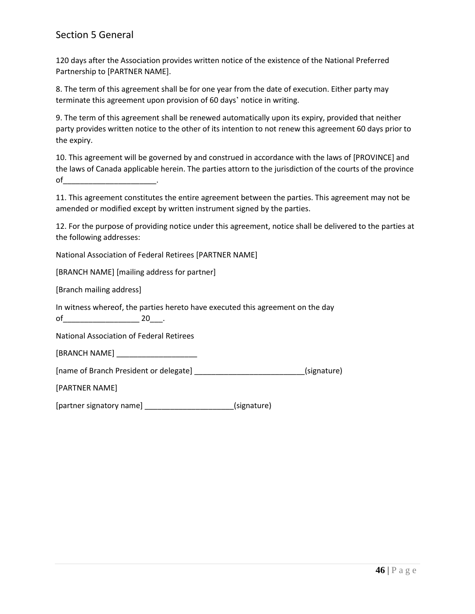## Section 5 General

120 days after the Association provides written notice of the existence of the National Preferred Partnership to [PARTNER NAME].

8. The term of this agreement shall be for one year from the date of execution. Either party may terminate this agreement upon provision of 60 days' notice in writing.

9. The term of this agreement shall be renewed automatically upon its expiry, provided that neither party provides written notice to the other of its intention to not renew this agreement 60 days prior to the expiry.

10. This agreement will be governed by and construed in accordance with the laws of [PROVINCE] and the laws of Canada applicable herein. The parties attorn to the jurisdiction of the courts of the province of \_\_\_\_\_\_\_\_\_\_\_\_\_\_\_\_\_\_\_\_\_\_\_\_\_\_\_.

11. This agreement constitutes the entire agreement between the parties. This agreement may not be amended or modified except by written instrument signed by the parties.

12. For the purpose of providing notice under this agreement, notice shall be delivered to the parties at the following addresses:

National Association of Federal Retirees [PARTNER NAME]

[BRANCH NAME] [mailing address for partner]

[Branch mailing address]

In witness whereof, the parties hereto have executed this agreement on the day of  $20$  .

National Association of Federal Retirees

[BRANCH NAME]

[name of Branch President or delegate] \_\_\_\_\_\_\_\_\_\_\_\_\_\_\_\_\_\_\_\_\_\_\_\_\_\_(signature)

[PARTNER NAME]

[partner signatory name] \_\_\_\_\_\_\_\_\_\_\_\_\_\_\_\_\_\_\_\_\_(signature)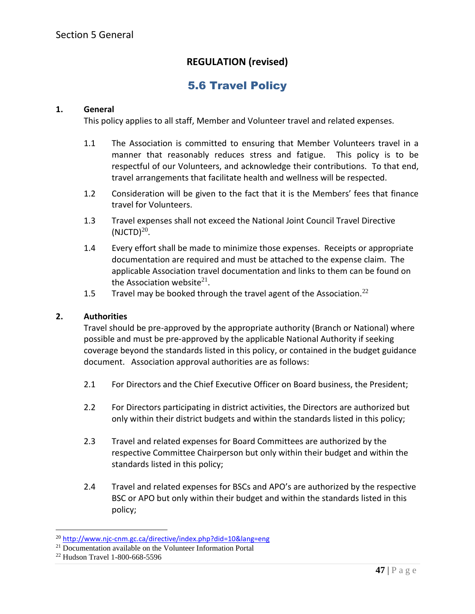## **REGULATION (revised)**

## 5.6 Travel Policy

#### <span id="page-47-0"></span>**1. General**

This policy applies to all staff, Member and Volunteer travel and related expenses.

- 1.1 The Association is committed to ensuring that Member Volunteers travel in a manner that reasonably reduces stress and fatigue. This policy is to be respectful of our Volunteers, and acknowledge their contributions. To that end, travel arrangements that facilitate health and wellness will be respected.
- 1.2 Consideration will be given to the fact that it is the Members' fees that finance travel for Volunteers.
- 1.3 Travel expenses shall not exceed the National Joint Council Travel Directive  $(NJCTD)^{20}$ .
- 1.4 Every effort shall be made to minimize those expenses. Receipts or appropriate documentation are required and must be attached to the expense claim. The applicable Association travel documentation and links to them can be found on the Association website $^{21}$ .
- 1.5 Travel may be booked through the travel agent of the Association.<sup>22</sup>

#### **2. Authorities**

Travel should be pre-approved by the appropriate authority (Branch or National) where possible and must be pre-approved by the applicable National Authority if seeking coverage beyond the standards listed in this policy, or contained in the budget guidance document. Association approval authorities are as follows:

- 2.1 For Directors and the Chief Executive Officer on Board business, the President;
- 2.2 For Directors participating in district activities, the Directors are authorized but only within their district budgets and within the standards listed in this policy;
- 2.3 Travel and related expenses for Board Committees are authorized by the respective Committee Chairperson but only within their budget and within the standards listed in this policy;
- 2.4 Travel and related expenses for BSCs and APO's are authorized by the respective BSC or APO but only within their budget and within the standards listed in this policy;

<sup>&</sup>lt;sup>20</sup> <http://www.njc-cnm.gc.ca/directive/index.php?did=10&lang=eng>

<sup>&</sup>lt;sup>21</sup> Documentation available on the Volunteer Information Portal

<sup>22</sup> Hudson Travel 1-800-668-5596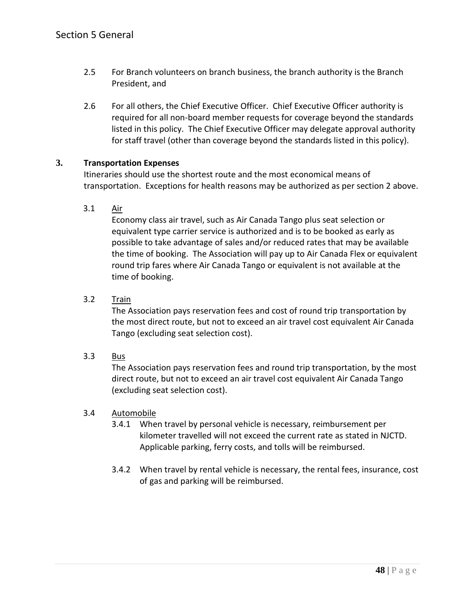- 2.5 For Branch volunteers on branch business, the branch authority is the Branch President, and
- 2.6 For all others, the Chief Executive Officer. Chief Executive Officer authority is required for all non-board member requests for coverage beyond the standards listed in this policy. The Chief Executive Officer may delegate approval authority for staff travel (other than coverage beyond the standards listed in this policy).

## **3. Transportation Expenses**

Itineraries should use the shortest route and the most economical means of transportation. Exceptions for health reasons may be authorized as per section 2 above.

## 3.1 Air

Economy class air travel, such as Air Canada Tango plus seat selection or equivalent type carrier service is authorized and is to be booked as early as possible to take advantage of sales and/or reduced rates that may be available the time of booking. The Association will pay up to Air Canada Flex or equivalent round trip fares where Air Canada Tango or equivalent is not available at the time of booking.

## 3.2 Train

The Association pays reservation fees and cost of round trip transportation by the most direct route, but not to exceed an air travel cost equivalent Air Canada Tango (excluding seat selection cost).

#### 3.3 Bus

The Association pays reservation fees and round trip transportation, by the most direct route, but not to exceed an air travel cost equivalent Air Canada Tango (excluding seat selection cost).

#### 3.4 Automobile

- 3.4.1 When travel by personal vehicle is necessary, reimbursement per kilometer travelled will not exceed the current rate as stated in NJCTD. Applicable parking, ferry costs, and tolls will be reimbursed.
- 3.4.2 When travel by rental vehicle is necessary, the rental fees, insurance, cost of gas and parking will be reimbursed.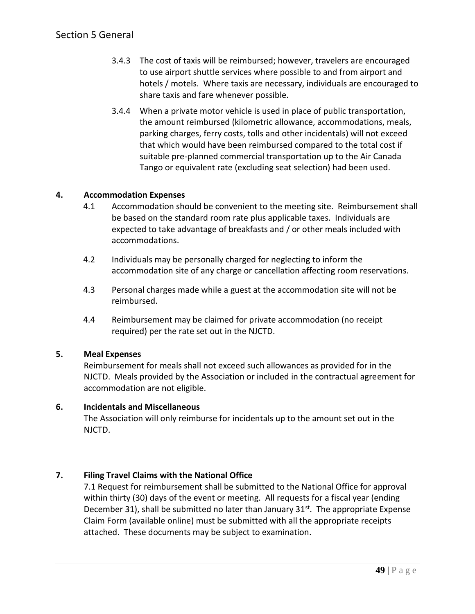## Section 5 General

- 3.4.3 The cost of taxis will be reimbursed; however, travelers are encouraged to use airport shuttle services where possible to and from airport and hotels / motels. Where taxis are necessary, individuals are encouraged to share taxis and fare whenever possible.
- 3.4.4 When a private motor vehicle is used in place of public transportation, the amount reimbursed (kilometric allowance, accommodations, meals, parking charges, ferry costs, tolls and other incidentals) will not exceed that which would have been reimbursed compared to the total cost if suitable pre-planned commercial transportation up to the Air Canada Tango or equivalent rate (excluding seat selection) had been used.

## **4. Accommodation Expenses**

- 4.1 Accommodation should be convenient to the meeting site. Reimbursement shall be based on the standard room rate plus applicable taxes. Individuals are expected to take advantage of breakfasts and / or other meals included with accommodations.
- 4.2 Individuals may be personally charged for neglecting to inform the accommodation site of any charge or cancellation affecting room reservations.
- 4.3 Personal charges made while a guest at the accommodation site will not be reimbursed.
- 4.4 Reimbursement may be claimed for private accommodation (no receipt required) per the rate set out in the NJCTD.

#### **5. Meal Expenses**

Reimbursement for meals shall not exceed such allowances as provided for in the NJCTD. Meals provided by the Association or included in the contractual agreement for accommodation are not eligible.

#### **6. Incidentals and Miscellaneous**

The Association will only reimburse for incidentals up to the amount set out in the NJCTD.

## **7. Filing Travel Claims with the National Office**

7.1 Request for reimbursement shall be submitted to the National Office for approval within thirty (30) days of the event or meeting. All requests for a fiscal year (ending December 31), shall be submitted no later than January  $31^{st}$ . The appropriate Expense Claim Form (available online) must be submitted with all the appropriate receipts attached. These documents may be subject to examination.